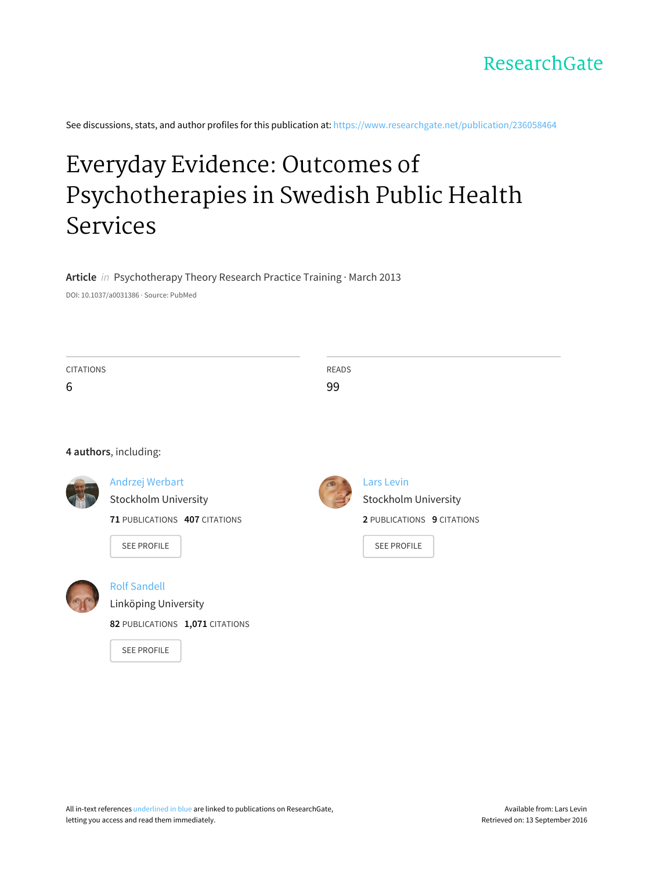

See discussions, stats, and author profiles for this publication at: [https://www.researchgate.net/publication/236058464](https://www.researchgate.net/publication/236058464_Everyday_Evidence_Outcomes_of_Psychotherapies_in_Swedish_Public_Health_Services?enrichId=rgreq-c7a5ae82878c7499e5662dda369a76d7-XXX&enrichSource=Y292ZXJQYWdlOzIzNjA1ODQ2NDtBUzoxMDQzNDg4ODEyNjA1NjFAMTQwMTg5MDEyMDY5Nw%3D%3D&el=1_x_2)

# Everyday Evidence: Outcomes of [Psychotherapies](https://www.researchgate.net/publication/236058464_Everyday_Evidence_Outcomes_of_Psychotherapies_in_Swedish_Public_Health_Services?enrichId=rgreq-c7a5ae82878c7499e5662dda369a76d7-XXX&enrichSource=Y292ZXJQYWdlOzIzNjA1ODQ2NDtBUzoxMDQzNDg4ODEyNjA1NjFAMTQwMTg5MDEyMDY5Nw%3D%3D&el=1_x_3) in Swedish Public Health Services

**Article** in Psychotherapy Theory Research Practice Training · March 2013 DOI: 10.1037/a0031386 · Source: PubMed

| <b>CITATIONS</b><br>6 |                                                                                                      | <b>READS</b><br>99 |                                                                                        |
|-----------------------|------------------------------------------------------------------------------------------------------|--------------------|----------------------------------------------------------------------------------------|
|                       | 4 authors, including:                                                                                |                    |                                                                                        |
|                       | Andrzej Werbart<br>Stockholm University<br>71 PUBLICATIONS 407 CITATIONS<br>SEE PROFILE              |                    | <b>Lars Levin</b><br>Stockholm University<br>2 PUBLICATIONS 9 CITATIONS<br>SEE PROFILE |
|                       | <b>Rolf Sandell</b><br>Linköping University<br>82 PUBLICATIONS 1,071 CITATIONS<br><b>SEE PROFILE</b> |                    |                                                                                        |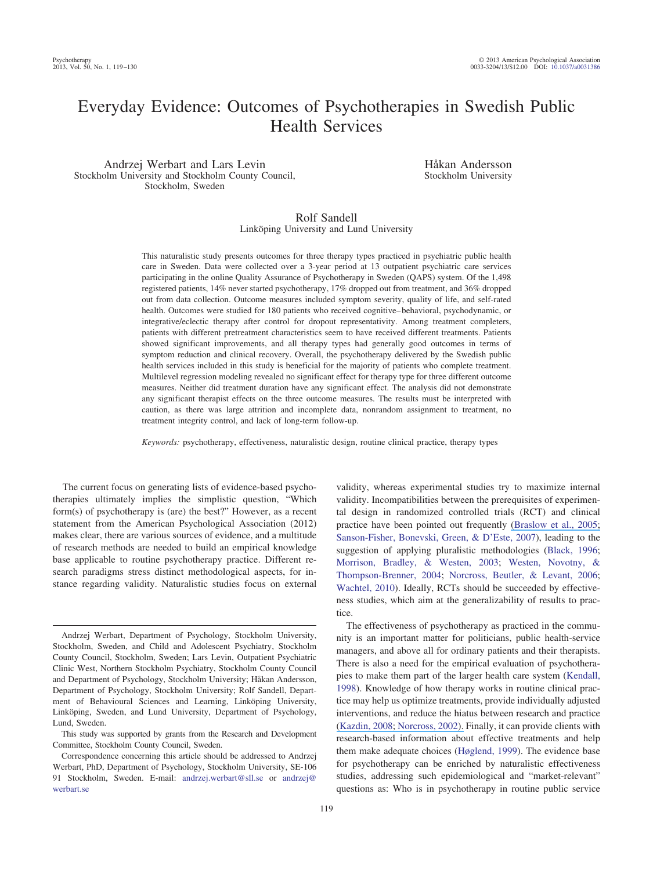# Everyday Evidence: Outcomes of Psychotherapies in Swedish Public Health Services

Andrzej Werbart and Lars Levin Stockholm University and Stockholm County Council, Stockholm, Sweden

Håkan Andersson Stockholm University

### Rolf Sandell Linköping University and Lund University

This naturalistic study presents outcomes for three therapy types practiced in psychiatric public health care in Sweden. Data were collected over a 3-year period at 13 outpatient psychiatric care services participating in the online Quality Assurance of Psychotherapy in Sweden (QAPS) system. Of the 1,498 registered patients, 14% never started psychotherapy, 17% dropped out from treatment, and 36% dropped out from data collection. Outcome measures included symptom severity, quality of life, and self-rated health. Outcomes were studied for 180 patients who received cognitive– behavioral, psychodynamic, or integrative/eclectic therapy after control for dropout representativity. Among treatment completers, patients with different pretreatment characteristics seem to have received different treatments. Patients showed significant improvements, and all therapy types had generally good outcomes in terms of symptom reduction and clinical recovery. Overall, the psychotherapy delivered by the Swedish public health services included in this study is beneficial for the majority of patients who complete treatment. Multilevel regression modeling revealed no significant effect for therapy type for three different outcome measures. Neither did treatment duration have any significant effect. The analysis did not demonstrate any significant therapist effects on the three outcome measures. The results must be interpreted with caution, as there was large attrition and incomplete data, nonrandom assignment to treatment, no treatment integrity control, and lack of long-term follow-up.

*Keywords:* psychotherapy, effectiveness, naturalistic design, routine clinical practice, therapy types

The current focus on generating lists of evidence-based psychotherapies ultimately implies the simplistic question, "Which form(s) of psychotherapy is (are) the best?" However, as a recent statement from the American Psychological Association (2012) makes clear, there are various sources of evidence, and a multitude of research methods are needed to build an empirical knowledge base applicable to routine psychotherapy practice. Different research paradigms stress distinct methodological aspects, for instance regarding validity. Naturalistic studies focus on external

This study was supported by grants from the Research and Development Committee, Stockholm County Council, Sweden.

validity, whereas experimental studies try to maximize internal validity. Incompatibilities between the prerequisites of experimental design in randomized controlled trials (RCT) and clinical practice have been pointed out frequently [\(Braslow et al., 2005;](https://www.researchgate.net/publication/7551082_Generalizability_of_Studies_on_Mental_Health_Treatment_and_Outcomes_1981_to_1996?el=1_x_8&enrichId=rgreq-c7a5ae82878c7499e5662dda369a76d7-XXX&enrichSource=Y292ZXJQYWdlOzIzNjA1ODQ2NDtBUzoxMDQzNDg4ODEyNjA1NjFAMTQwMTg5MDEyMDY5Nw==) Sanson-Fisher, Bonevski, Green, & D'Este, 2007), leading to the suggestion of applying pluralistic methodologies (Black, 1996; Morrison, Bradley, & Westen, 2003; Westen, Novotny, & Thompson-Brenner, 2004; Norcross, Beutler, & Levant, 2006; Wachtel, 2010). Ideally, RCTs should be succeeded by effectiveness studies, which aim at the generalizability of results to practice.

The effectiveness of psychotherapy as practiced in the community is an important matter for politicians, public health-service managers, and above all for ordinary patients and their therapists. There is also a need for the empirical evaluation of psychotherapies to make them part of the larger health care system (Kendall, 1998). Knowledge of how therapy works in routine clinical practice may help us optimize treatments, provide individually adjusted interventions, and reduce the hiatus between research and practice (Kazdin, 2008; [Norcross, 2002\).](https://www.researchgate.net/publication/5475755_Evidence-Based_Treatment_and_Practice_New_Opportunities_to_Bridge_Clinical_Research_and_Practice_Enhance_the_Knowledge_Base_and_Improve_Patient_Care?el=1_x_8&enrichId=rgreq-c7a5ae82878c7499e5662dda369a76d7-XXX&enrichSource=Y292ZXJQYWdlOzIzNjA1ODQ2NDtBUzoxMDQzNDg4ODEyNjA1NjFAMTQwMTg5MDEyMDY5Nw==) Finally, it can provide clients with research-based information about effective treatments and help them make adequate choices (Høglend, 1999). The evidence base for psychotherapy can be enriched by naturalistic effectiveness studies, addressing such epidemiological and "market-relevant" questions as: Who is in psychotherapy in routine public service

Andrzej Werbart, Department of Psychology, Stockholm University, Stockholm, Sweden, and Child and Adolescent Psychiatry, Stockholm County Council, Stockholm, Sweden; Lars Levin, Outpatient Psychiatric Clinic West, Northern Stockholm Psychiatry, Stockholm County Council and Department of Psychology, Stockholm University; Håkan Andersson, Department of Psychology, Stockholm University; Rolf Sandell, Department of Behavioural Sciences and Learning, Linköping University, Linköping, Sweden, and Lund University, Department of Psychology, Lund, Sweden.

Correspondence concerning this article should be addressed to Andrzej Werbart, PhD, Department of Psychology, Stockholm University, SE-106 91 Stockholm, Sweden. E-mail: [andrzej.werbart@sll.se](mailto:andrzej.werbart@sll.se) or [andrzej@](mailto:andrzej@werbart.se) [werbart.se](mailto:andrzej@werbart.se)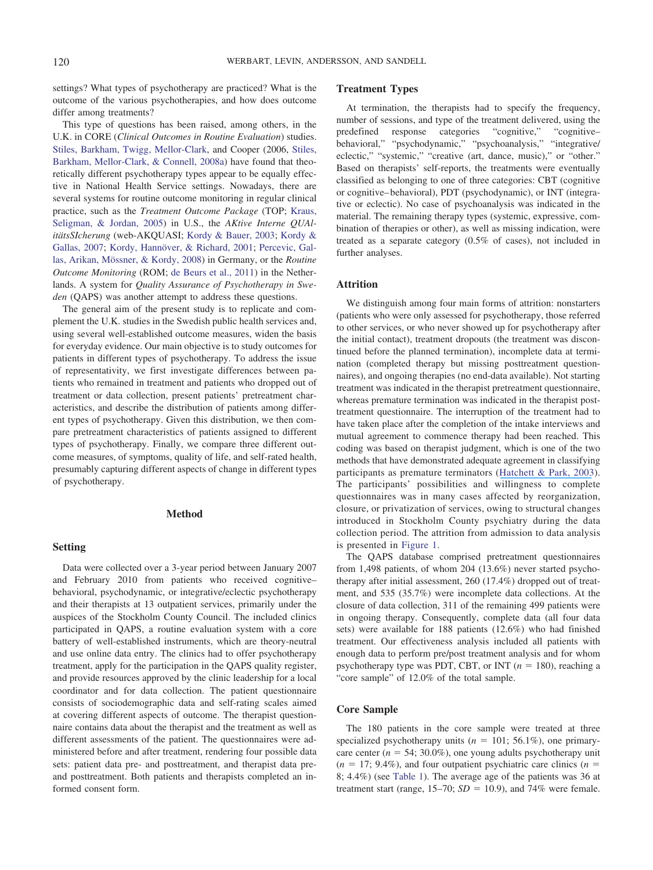settings? What types of psychotherapy are practiced? What is the outcome of the various psychotherapies, and how does outcome differ among treatments?

This type of questions has been raised, among others, in the U.K. in CORE (*Clinical Outcomes in Routine Evaluation*) studies. Stiles, Barkham, Twigg, Mellor-Clark, and Cooper (2006, Stiles, Barkham, Mellor-Clark, & Connell, 2008a) have found that theoretically different psychotherapy types appear to be equally effective in National Health Service settings. Nowadays, there are several systems for routine outcome monitoring in regular clinical practice, such as the *Treatment Outcome Package* (TOP; Kraus, Seligman, & Jordan, 2005) in U.S., the *AKtive Interne QUAlitätsSIcherung* (web-AKQUASI; Kordy & Bauer, 2003; Kordy & Gallas, 2007; Kordy, Hannöver, & Richard, 2001; Percevic, Gallas, Arikan, Mössner, & Kordy, 2008) in Germany, or the *Routine Outcome Monitoring* (ROM; de Beurs et al., 2011) in the Netherlands. A system for *Quality Assurance of Psychotherapy in Sweden* (QAPS) was another attempt to address these questions.

The general aim of the present study is to replicate and complement the U.K. studies in the Swedish public health services and, using several well-established outcome measures, widen the basis for everyday evidence. Our main objective is to study outcomes for patients in different types of psychotherapy. To address the issue of representativity, we first investigate differences between patients who remained in treatment and patients who dropped out of treatment or data collection, present patients' pretreatment characteristics, and describe the distribution of patients among different types of psychotherapy. Given this distribution, we then compare pretreatment characteristics of patients assigned to different types of psychotherapy. Finally, we compare three different outcome measures, of symptoms, quality of life, and self-rated health, presumably capturing different aspects of change in different types of psychotherapy.

#### **Method**

#### **Setting**

Data were collected over a 3-year period between January 2007 and February 2010 from patients who received cognitive– behavioral, psychodynamic, or integrative/eclectic psychotherapy and their therapists at 13 outpatient services, primarily under the auspices of the Stockholm County Council. The included clinics participated in QAPS, a routine evaluation system with a core battery of well-established instruments, which are theory-neutral and use online data entry. The clinics had to offer psychotherapy treatment, apply for the participation in the QAPS quality register, and provide resources approved by the clinic leadership for a local coordinator and for data collection. The patient questionnaire consists of sociodemographic data and self-rating scales aimed at covering different aspects of outcome. The therapist questionnaire contains data about the therapist and the treatment as well as different assessments of the patient. The questionnaires were administered before and after treatment, rendering four possible data sets: patient data pre- and posttreatment, and therapist data preand posttreatment. Both patients and therapists completed an informed consent form.

#### **Treatment Types**

At termination, the therapists had to specify the frequency, number of sessions, and type of the treatment delivered, using the predefined response categories "cognitive," "cognitive– behavioral," "psychodynamic," "psychoanalysis," "integrative/ eclectic," "systemic," "creative (art, dance, music)," or "other." Based on therapists' self-reports, the treatments were eventually classified as belonging to one of three categories: CBT (cognitive or cognitive– behavioral), PDT (psychodynamic), or INT (integrative or eclectic). No case of psychoanalysis was indicated in the material. The remaining therapy types (systemic, expressive, combination of therapies or other), as well as missing indication, were treated as a separate category (0.5% of cases), not included in further analyses.

#### **Attrition**

We distinguish among four main forms of attrition: nonstarters (patients who were only assessed for psychotherapy, those referred to other services, or who never showed up for psychotherapy after the initial contact), treatment dropouts (the treatment was discontinued before the planned termination), incomplete data at termination (completed therapy but missing posttreatment questionnaires), and ongoing therapies (no end-data available). Not starting treatment was indicated in the therapist pretreatment questionnaire, whereas premature termination was indicated in the therapist posttreatment questionnaire. The interruption of the treatment had to have taken place after the completion of the intake interviews and mutual agreement to commence therapy had been reached. This coding was based on therapist judgment, which is one of the two methods that have demonstrated adequate agreement in classifying participants as premature terminators ([Hatchett & Park, 2003](https://www.researchgate.net/publication/232427679_Comparison_of_Four_Operational_Definitions_of_Premature_Termination?el=1_x_8&enrichId=rgreq-c7a5ae82878c7499e5662dda369a76d7-XXX&enrichSource=Y292ZXJQYWdlOzIzNjA1ODQ2NDtBUzoxMDQzNDg4ODEyNjA1NjFAMTQwMTg5MDEyMDY5Nw==)). The participants' possibilities and willingness to complete questionnaires was in many cases affected by reorganization, closure, or privatization of services, owing to structural changes introduced in Stockholm County psychiatry during the data collection period. The attrition from admission to data analysis is presented in Figure 1.

The QAPS database comprised pretreatment questionnaires from 1,498 patients, of whom 204 (13.6%) never started psychotherapy after initial assessment, 260 (17.4%) dropped out of treatment, and 535 (35.7%) were incomplete data collections. At the closure of data collection, 311 of the remaining 499 patients were in ongoing therapy. Consequently, complete data (all four data sets) were available for 188 patients (12.6%) who had finished treatment. Our effectiveness analysis included all patients with enough data to perform pre/post treatment analysis and for whom psychotherapy type was PDT, CBT, or INT  $(n = 180)$ , reaching a "core sample" of 12.0% of the total sample.

#### **Core Sample**

The 180 patients in the core sample were treated at three specialized psychotherapy units  $(n = 101; 56.1\%)$ , one primarycare center  $(n = 54; 30.0\%)$ , one young adults psychotherapy unit  $(n = 17; 9.4\%)$ , and four outpatient psychiatric care clinics  $(n = 17; 9.4\%)$ 8; 4.4%) (see Table 1). The average age of the patients was 36 at treatment start (range,  $15-70$ ;  $SD = 10.9$ ), and  $74\%$  were female.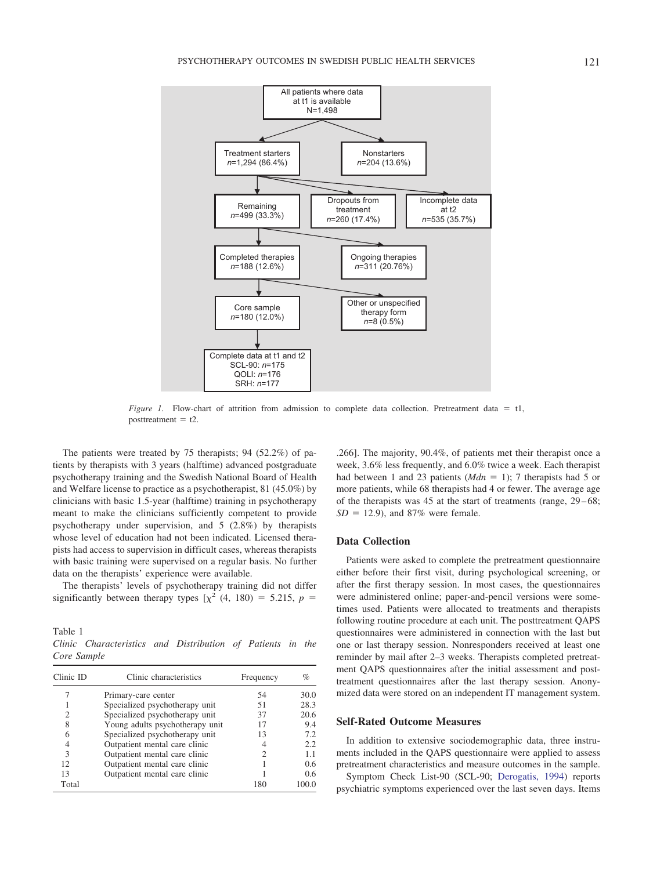

*Figure 1.* Flow-chart of attrition from admission to complete data collection. Pretreatment data = t1, posttreatment  $=$  t2.

The patients were treated by 75 therapists; 94 (52.2%) of patients by therapists with 3 years (halftime) advanced postgraduate psychotherapy training and the Swedish National Board of Health and Welfare license to practice as a psychotherapist, 81 (45.0%) by clinicians with basic 1.5-year (halftime) training in psychotherapy meant to make the clinicians sufficiently competent to provide psychotherapy under supervision, and 5 (2.8%) by therapists whose level of education had not been indicated. Licensed therapists had access to supervision in difficult cases, whereas therapists with basic training were supervised on a regular basis. No further data on the therapists' experience were available.

The therapists' levels of psychotherapy training did not differ significantly between therapy types  $[\chi^2(4, 180) = 5.215, p =$ 

Table 1 *Clinic Characteristics and Distribution of Patients in the Core Sample*

| Clinic ID | Clinic characteristics          | Frequency | %             |
|-----------|---------------------------------|-----------|---------------|
|           | Primary-care center             | 54        | 30.0          |
|           | Specialized psychotherapy unit  | 51        | 28.3          |
|           | Specialized psychotherapy unit  | 37        | 20.6          |
| 8         | Young adults psychotherapy unit | 17        | 9.4           |
| 6         | Specialized psychotherapy unit  | 13        | 7.2           |
| 4         | Outpatient mental care clinic   |           | 2.2.          |
| 3         | Outpatient mental care clinic   | 2         | 1.1           |
| 12        | Outpatient mental care clinic   |           | 0.6           |
| 13        | Outpatient mental care clinic   |           | $0.6^{\circ}$ |
| Total     |                                 | 180       | 100.0         |

.266]. The majority, 90.4%, of patients met their therapist once a week, 3.6% less frequently, and 6.0% twice a week. Each therapist had between 1 and 23 patients  $(Mdn = 1)$ ; 7 therapists had 5 or more patients, while 68 therapists had 4 or fewer. The average age of the therapists was 45 at the start of treatments (range, 29 – 68;  $SD = 12.9$ , and 87% were female.

#### **Data Collection**

Patients were asked to complete the pretreatment questionnaire either before their first visit, during psychological screening, or after the first therapy session. In most cases, the questionnaires were administered online; paper-and-pencil versions were sometimes used. Patients were allocated to treatments and therapists following routine procedure at each unit. The posttreatment QAPS questionnaires were administered in connection with the last but one or last therapy session. Nonresponders received at least one reminder by mail after 2–3 weeks. Therapists completed pretreatment QAPS questionnaires after the initial assessment and posttreatment questionnaires after the last therapy session. Anonymized data were stored on an independent IT management system.

#### **Self-Rated Outcome Measures**

In addition to extensive sociodemographic data, three instruments included in the QAPS questionnaire were applied to assess pretreatment characteristics and measure outcomes in the sample.

Symptom Check List-90 (SCL-90; Derogatis, 1994) reports psychiatric symptoms experienced over the last seven days. Items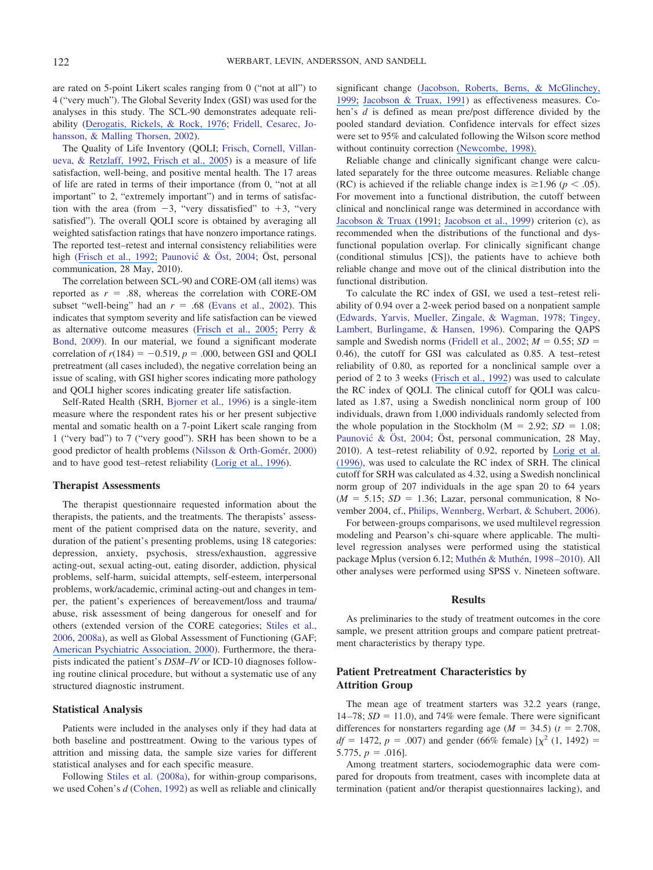are rated on 5-point Likert scales ranging from 0 ("not at all") to 4 ("very much"). The Global Severity Index (GSI) was used for the analyses in this study. The SCL-90 demonstrates adequate reliability ([Derogatis, Rickels, & Rock, 1976](https://www.researchgate.net/publication/21902394_The_SCL-90_and_the_MMPI_A_step_in_the_validation_of_a_new_self-report_scale?el=1_x_8&enrichId=rgreq-c7a5ae82878c7499e5662dda369a76d7-XXX&enrichSource=Y292ZXJQYWdlOzIzNjA1ODQ2NDtBUzoxMDQzNDg4ODEyNjA1NjFAMTQwMTg5MDEyMDY5Nw==); Fridell, Cesarec, Johansson, & Malling Thorsen, 2002).

The Quality of Life Inventory (QOLI; Frisch, Cornell, Villanueva, & [Retzlaff, 1992](https://www.researchgate.net/publication/232605115_Clinical_Validation_of_the_Quality_of_Life_Inventory_A_Measure_of_Life_Satisfaction_for_Use_in_Treatment_Planning_and_Outcome_Assessment?el=1_x_8&enrichId=rgreq-c7a5ae82878c7499e5662dda369a76d7-XXX&enrichSource=Y292ZXJQYWdlOzIzNjA1ODQ2NDtBUzoxMDQzNDg4ODEyNjA1NjFAMTQwMTg5MDEyMDY5Nw==), [Frisch et al., 2005](https://www.researchgate.net/publication/8036433_Predictive_and_Treatment_Validity_of_Life_Satisfaction_and_the_Quality_of_Life_Inventory?el=1_x_8&enrichId=rgreq-c7a5ae82878c7499e5662dda369a76d7-XXX&enrichSource=Y292ZXJQYWdlOzIzNjA1ODQ2NDtBUzoxMDQzNDg4ODEyNjA1NjFAMTQwMTg5MDEyMDY5Nw==)) is a measure of life satisfaction, well-being, and positive mental health. The 17 areas of life are rated in terms of their importance (from 0, "not at all important" to 2, "extremely important") and in terms of satisfaction with the area (from  $-3$ , "very dissatisfied" to  $+3$ , "very satisfied"). The overall QOLI score is obtained by averaging all weighted satisfaction ratings that have nonzero importance ratings. The reported test–retest and internal consistency reliabilities were high ([Frisch et al., 1992;](https://www.researchgate.net/publication/232605115_Clinical_Validation_of_the_Quality_of_Life_Inventory_A_Measure_of_Life_Satisfaction_for_Use_in_Treatment_Planning_and_Outcome_Assessment?el=1_x_8&enrichId=rgreq-c7a5ae82878c7499e5662dda369a76d7-XXX&enrichSource=Y292ZXJQYWdlOzIzNjA1ODQ2NDtBUzoxMDQzNDg4ODEyNjA1NjFAMTQwMTg5MDEyMDY5Nw==) Paunović & Öst, 2004; Öst, personal communication, 28 May, 2010).

The correlation between SCL-90 and CORE-OM (all items) was reported as  $r = .88$ , whereas the correlation with CORE-OM subset "well-being" had an  $r = .68$  (Evans et al., 2002). This indicates that symptom severity and life satisfaction can be viewed as alternative outcome measures ([Frisch et al., 2005;](https://www.researchgate.net/publication/8036433_Predictive_and_Treatment_Validity_of_Life_Satisfaction_and_the_Quality_of_Life_Inventory?el=1_x_8&enrichId=rgreq-c7a5ae82878c7499e5662dda369a76d7-XXX&enrichSource=Y292ZXJQYWdlOzIzNjA1ODQ2NDtBUzoxMDQzNDg4ODEyNjA1NjFAMTQwMTg5MDEyMDY5Nw==) Perry & Bond, 2009). In our material, we found a significant moderate correlation of  $r(184) = -0.519$ ,  $p = .000$ , between GSI and QOLI pretreatment (all cases included), the negative correlation being an issue of scaling, with GSI higher scores indicating more pathology and QOLI higher scores indicating greater life satisfaction.

Self-Rated Health (SRH, Bjorner et al., 1996) is a single-item measure where the respondent rates his or her present subjective mental and somatic health on a 7-point Likert scale ranging from 1 ("very bad") to 7 ("very good"). SRH has been shown to be a good predictor of health problems (Nilsson & Orth-Gomér, 2000) and to have good test–retest reliability ([Lorig et al., 1996](https://www.researchgate.net/publication/285700068_Outcome_Measures_for_Health_Education_and_Other_Health_Care_Interventions?el=1_x_8&enrichId=rgreq-c7a5ae82878c7499e5662dda369a76d7-XXX&enrichSource=Y292ZXJQYWdlOzIzNjA1ODQ2NDtBUzoxMDQzNDg4ODEyNjA1NjFAMTQwMTg5MDEyMDY5Nw==)).

#### **Therapist Assessments**

The therapist questionnaire requested information about the therapists, the patients, and the treatments. The therapists' assessment of the patient comprised data on the nature, severity, and duration of the patient's presenting problems, using 18 categories: depression, anxiety, psychosis, stress/exhaustion, aggressive acting-out, sexual acting-out, eating disorder, addiction, physical problems, self-harm, suicidal attempts, self-esteem, interpersonal problems, work/academic, criminal acting-out and changes in temper, the patient's experiences of bereavement/loss and trauma/ abuse, risk assessment of being dangerous for oneself and for others (extended version of the CORE categories; Stiles et al., 2006, 2008a), as well as Global Assessment of Functioning (GAF; [American Psychiatric Association, 2000](https://www.researchgate.net/publication/236017807_Diagnostic_and_Statistical_Manual_of_Mental_Disorders_DSM-V?el=1_x_8&enrichId=rgreq-c7a5ae82878c7499e5662dda369a76d7-XXX&enrichSource=Y292ZXJQYWdlOzIzNjA1ODQ2NDtBUzoxMDQzNDg4ODEyNjA1NjFAMTQwMTg5MDEyMDY5Nw==)). Furthermore, the therapists indicated the patient's *DSM–IV* or ICD-10 diagnoses following routine clinical procedure, but without a systematic use of any structured diagnostic instrument.

#### **Statistical Analysis**

Patients were included in the analyses only if they had data at both baseline and posttreatment. Owing to the various types of attrition and missing data, the sample size varies for different statistical analyses and for each specific measure.

Following Stiles et al. (2008a), for within-group comparisons, we used Cohen's *d* (Cohen, 1992) as well as reliable and clinically

significant change ([Jacobson, Roberts, Berns, & McGlinchey,](https://www.researchgate.net/publication/12930090_Methods_for_defining_and_determining_the_clinical_significance_of_treatment_effects_Description_application_and_alternatives?el=1_x_8&enrichId=rgreq-c7a5ae82878c7499e5662dda369a76d7-XXX&enrichSource=Y292ZXJQYWdlOzIzNjA1ODQ2NDtBUzoxMDQzNDg4ODEyNjA1NjFAMTQwMTg5MDEyMDY5Nw==) [1999;](https://www.researchgate.net/publication/12930090_Methods_for_defining_and_determining_the_clinical_significance_of_treatment_effects_Description_application_and_alternatives?el=1_x_8&enrichId=rgreq-c7a5ae82878c7499e5662dda369a76d7-XXX&enrichSource=Y292ZXJQYWdlOzIzNjA1ODQ2NDtBUzoxMDQzNDg4ODEyNjA1NjFAMTQwMTg5MDEyMDY5Nw==) [Jacobson & Truax, 1991](https://www.researchgate.net/publication/288950605_Clinical_significance_A_statistical_appraoch_to_defining_meaningful_change_in_psychotherapy_research?el=1_x_8&enrichId=rgreq-c7a5ae82878c7499e5662dda369a76d7-XXX&enrichSource=Y292ZXJQYWdlOzIzNjA1ODQ2NDtBUzoxMDQzNDg4ODEyNjA1NjFAMTQwMTg5MDEyMDY5Nw==)) as effectiveness measures. Cohen's *d* is defined as mean pre/post difference divided by the pooled standard deviation. Confidence intervals for effect sizes were set to 95% and calculated following the Wilson score method without continuity correction [\(Newcombe, 1998\).](https://www.researchgate.net/publication/13687789_Two-Sided_Confidence_Intervals_for_the_Single_Proportion_Comparison_of_Seven_Methods?el=1_x_8&enrichId=rgreq-c7a5ae82878c7499e5662dda369a76d7-XXX&enrichSource=Y292ZXJQYWdlOzIzNjA1ODQ2NDtBUzoxMDQzNDg4ODEyNjA1NjFAMTQwMTg5MDEyMDY5Nw==)

Reliable change and clinically significant change were calculated separately for the three outcome measures. Reliable change (RC) is achieved if the reliable change index is  $\geq$ 1.96 ( $p < .05$ ). For movement into a functional distribution, the cutoff between clinical and nonclinical range was determined in accordance with [Jacobson & Truax](https://www.researchgate.net/publication/288950605_Clinical_significance_A_statistical_appraoch_to_defining_meaningful_change_in_psychotherapy_research?el=1_x_8&enrichId=rgreq-c7a5ae82878c7499e5662dda369a76d7-XXX&enrichSource=Y292ZXJQYWdlOzIzNjA1ODQ2NDtBUzoxMDQzNDg4ODEyNjA1NjFAMTQwMTg5MDEyMDY5Nw==) (1991; [Jacobson et al., 1999](https://www.researchgate.net/publication/12930090_Methods_for_defining_and_determining_the_clinical_significance_of_treatment_effects_Description_application_and_alternatives?el=1_x_8&enrichId=rgreq-c7a5ae82878c7499e5662dda369a76d7-XXX&enrichSource=Y292ZXJQYWdlOzIzNjA1ODQ2NDtBUzoxMDQzNDg4ODEyNjA1NjFAMTQwMTg5MDEyMDY5Nw==)) criterion (c), as recommended when the distributions of the functional and dysfunctional population overlap. For clinically significant change (conditional stimulus [CS]), the patients have to achieve both reliable change and move out of the clinical distribution into the functional distribution.

To calculate the RC index of GSI, we used a test–retest reliability of 0.94 over a 2-week period based on a nonpatient sample (Edwards, Yarvis, Mueller, Zingale, & Wagman, 1978; Tingey, Lambert, Burlingame, & Hansen, 1996). Comparing the QAPS sample and Swedish norms (Fridell et al., 2002;  $M = 0.55$ ;  $SD =$ 0.46), the cutoff for GSI was calculated as 0.85. A test–retest reliability of 0.80, as reported for a nonclinical sample over a period of 2 to 3 weeks ([Frisch et al., 1992](https://www.researchgate.net/publication/232605115_Clinical_Validation_of_the_Quality_of_Life_Inventory_A_Measure_of_Life_Satisfaction_for_Use_in_Treatment_Planning_and_Outcome_Assessment?el=1_x_8&enrichId=rgreq-c7a5ae82878c7499e5662dda369a76d7-XXX&enrichSource=Y292ZXJQYWdlOzIzNjA1ODQ2NDtBUzoxMDQzNDg4ODEyNjA1NjFAMTQwMTg5MDEyMDY5Nw==)) was used to calculate the RC index of QOLI. The clinical cutoff for QOLI was calculated as 1.87, using a Swedish nonclinical norm group of 100 individuals, drawn from 1,000 individuals randomly selected from the whole population in the Stockholm ( $M = 2.92$ ;  $SD = 1.08$ ; Paunović & Öst, 2004; Öst, personal communication, 28 May, 2010). A test–retest reliability of 0.92, reported by [Lorig et al.](https://www.researchgate.net/publication/285700068_Outcome_Measures_for_Health_Education_and_Other_Health_Care_Interventions?el=1_x_8&enrichId=rgreq-c7a5ae82878c7499e5662dda369a76d7-XXX&enrichSource=Y292ZXJQYWdlOzIzNjA1ODQ2NDtBUzoxMDQzNDg4ODEyNjA1NjFAMTQwMTg5MDEyMDY5Nw==) [\(1996\)](https://www.researchgate.net/publication/285700068_Outcome_Measures_for_Health_Education_and_Other_Health_Care_Interventions?el=1_x_8&enrichId=rgreq-c7a5ae82878c7499e5662dda369a76d7-XXX&enrichSource=Y292ZXJQYWdlOzIzNjA1ODQ2NDtBUzoxMDQzNDg4ODEyNjA1NjFAMTQwMTg5MDEyMDY5Nw==), was used to calculate the RC index of SRH. The clinical cutoff for SRH was calculated as 4.32, using a Swedish nonclinical norm group of 207 individuals in the age span 20 to 64 years  $(M = 5.15; SD = 1.36; Lazar, personal communication, 8 No$ vember 2004, cf., Philips, Wennberg, Werbart, & Schubert, 2006).

For between-groups comparisons, we used multilevel regression modeling and Pearson's chi-square where applicable. The multilevel regression analyses were performed using the statistical package Mplus (version 6.12; Muthén & Muthén, 1998 –2010). All other analyses were performed using SPSS v. Nineteen software.

#### **Results**

As preliminaries to the study of treatment outcomes in the core sample, we present attrition groups and compare patient pretreatment characteristics by therapy type.

#### **Patient Pretreatment Characteristics by Attrition Group**

The mean age of treatment starters was 32.2 years (range,  $14 - 78$ ;  $SD = 11.0$ ), and  $74\%$  were female. There were significant differences for nonstarters regarding age  $(M = 34.5)$   $(t = 2.708,$  $df = 1472$ ,  $p = .007$ ) and gender (66% female) [ $\chi^2$  (1, 1492) = 5.775,  $p = .016$ .

Among treatment starters, sociodemographic data were compared for dropouts from treatment, cases with incomplete data at termination (patient and/or therapist questionnaires lacking), and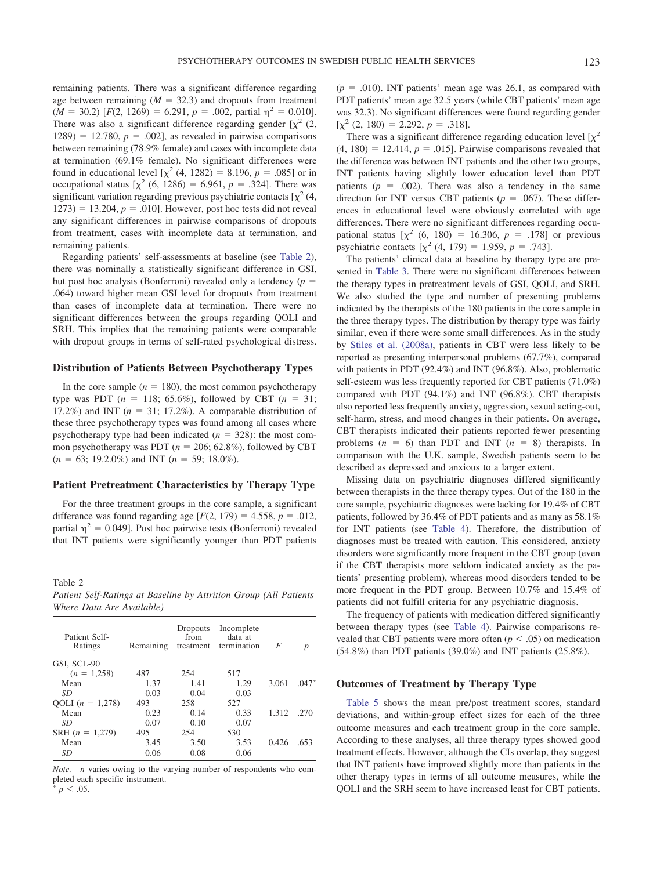remaining patients. There was a significant difference regarding age between remaining  $(M = 32.3)$  and dropouts from treatment  $(M = 30.2)$  [*F*(2, 1269) = 6.291, *p* = .002, partial  $\eta^2 = 0.010$ ]. There was also a significant difference regarding gender  $[\chi^2 (2,$ 1289) = 12.780,  $p = .002$ ], as revealed in pairwise comparisons between remaining (78.9% female) and cases with incomplete data at termination (69.1% female). No significant differences were found in educational level  $[\chi^2 (4, 1282) = 8.196, p = .085]$  or in occupational status  $[\chi^2 (6, 1286) = 6.961, p = .324]$ . There was significant variation regarding previous psychiatric contacts [ $\chi^2$  (4,  $1273$ ) = 13.204,  $p = .010$ . However, post hoc tests did not reveal any significant differences in pairwise comparisons of dropouts from treatment, cases with incomplete data at termination, and remaining patients.

Regarding patients' self-assessments at baseline (see Table 2), there was nominally a statistically significant difference in GSI, but post hoc analysis (Bonferroni) revealed only a tendency (*p* .064) toward higher mean GSI level for dropouts from treatment than cases of incomplete data at termination. There were no significant differences between the groups regarding QOLI and SRH. This implies that the remaining patients were comparable with dropout groups in terms of self-rated psychological distress.

#### **Distribution of Patients Between Psychotherapy Types**

In the core sample  $(n = 180)$ , the most common psychotherapy type was PDT ( $n = 118$ ; 65.6%), followed by CBT ( $n = 31$ ; 17.2%) and INT ( $n = 31$ ; 17.2%). A comparable distribution of these three psychotherapy types was found among all cases where psychotherapy type had been indicated  $(n = 328)$ : the most common psychotherapy was PDT ( $n = 206$ ; 62.8%), followed by CBT  $(n = 63; 19.2.0\%)$  and INT  $(n = 59; 18.0\%).$ 

# **Patient Pretreatment Characteristics by Therapy Type**

For the three treatment groups in the core sample, a significant difference was found regarding age  $[F(2, 179) = 4.558, p = .012,$ partial  $\eta^2 = 0.049$ ]. Post hoc pairwise tests (Bonferroni) revealed that INT patients were significantly younger than PDT patients

Table 2 *Patient Self-Ratings at Baseline by Attrition Group (All Patients Where Data Are Available)*

| Patient Self-<br>Ratings | Remaining | <b>Dropouts</b><br>from<br>treatment | Incomplete<br>data at<br>termination | F     | $\boldsymbol{p}$ |
|--------------------------|-----------|--------------------------------------|--------------------------------------|-------|------------------|
| GSI, SCL-90              |           |                                      |                                      |       |                  |
| $(n = 1,258)$            | 487       | 254                                  | 517                                  |       |                  |
| Mean                     | 1.37      | 1.41                                 | 1.29                                 | 3.061 | $.047*$          |
| SD                       | 0.03      | 0.04                                 | 0.03                                 |       |                  |
| OOLI $(n = 1,278)$       | 493       | 258                                  | 527                                  |       |                  |
| Mean                     | 0.23      | 0.14                                 | 0.33                                 | 1.312 | -270             |
| SD                       | 0.07      | 0.10                                 | 0.07                                 |       |                  |
| SRH $(n = 1,279)$        | 495       | 254                                  | 530                                  |       |                  |
| Mean                     | 3.45      | 3.50                                 | 3.53                                 | 0.426 | .653             |
| SD                       | 0.06      | 0.08                                 | 0.06                                 |       |                  |

*Note. n* varies owing to the varying number of respondents who completed each specific instrument.

 $p < .05$ .

 $(p = .010)$ . INT patients' mean age was 26.1, as compared with PDT patients' mean age 32.5 years (while CBT patients' mean age was 32.3). No significant differences were found regarding gender  $[\chi^2 (2, 180) = 2.292, p = .318].$ 

There was a significant difference regarding education level  $[\chi^2]$  $(4, 180) = 12.414$ ,  $p = .015$ ]. Pairwise comparisons revealed that the difference was between INT patients and the other two groups, INT patients having slightly lower education level than PDT patients  $(p = .002)$ . There was also a tendency in the same direction for INT versus CBT patients ( $p = .067$ ). These differences in educational level were obviously correlated with age differences. There were no significant differences regarding occupational status  $[\chi^2 (6, 180) = 16.306, p = .178]$  or previous psychiatric contacts  $[\chi^2 (4, 179) = 1.959, p = .743]$ .

The patients' clinical data at baseline by therapy type are presented in Table 3. There were no significant differences between the therapy types in pretreatment levels of GSI, QOLI, and SRH. We also studied the type and number of presenting problems indicated by the therapists of the 180 patients in the core sample in the three therapy types. The distribution by therapy type was fairly similar, even if there were some small differences. As in the study by Stiles et al. (2008a), patients in CBT were less likely to be reported as presenting interpersonal problems (67.7%), compared with patients in PDT (92.4%) and INT (96.8%). Also, problematic self-esteem was less frequently reported for CBT patients (71.0%) compared with PDT (94.1%) and INT (96.8%). CBT therapists also reported less frequently anxiety, aggression, sexual acting-out, self-harm, stress, and mood changes in their patients. On average, CBT therapists indicated their patients reported fewer presenting problems  $(n = 6)$  than PDT and INT  $(n = 8)$  therapists. In comparison with the U.K. sample, Swedish patients seem to be described as depressed and anxious to a larger extent.

Missing data on psychiatric diagnoses differed significantly between therapists in the three therapy types. Out of the 180 in the core sample, psychiatric diagnoses were lacking for 19.4% of CBT patients, followed by 36.4% of PDT patients and as many as 58.1% for INT patients (see Table 4). Therefore, the distribution of diagnoses must be treated with caution. This considered, anxiety disorders were significantly more frequent in the CBT group (even if the CBT therapists more seldom indicated anxiety as the patients' presenting problem), whereas mood disorders tended to be more frequent in the PDT group. Between 10.7% and 15.4% of patients did not fulfill criteria for any psychiatric diagnosis.

The frequency of patients with medication differed significantly between therapy types (see Table 4). Pairwise comparisons revealed that CBT patients were more often  $(p < .05)$  on medication (54.8%) than PDT patients (39.0%) and INT patients (25.8%).

## **Outcomes of Treatment by Therapy Type**

Table 5 shows the mean pre/post treatment scores, standard deviations, and within-group effect sizes for each of the three outcome measures and each treatment group in the core sample. According to these analyses, all three therapy types showed good treatment effects. However, although the CIs overlap, they suggest that INT patients have improved slightly more than patients in the other therapy types in terms of all outcome measures, while the QOLI and the SRH seem to have increased least for CBT patients.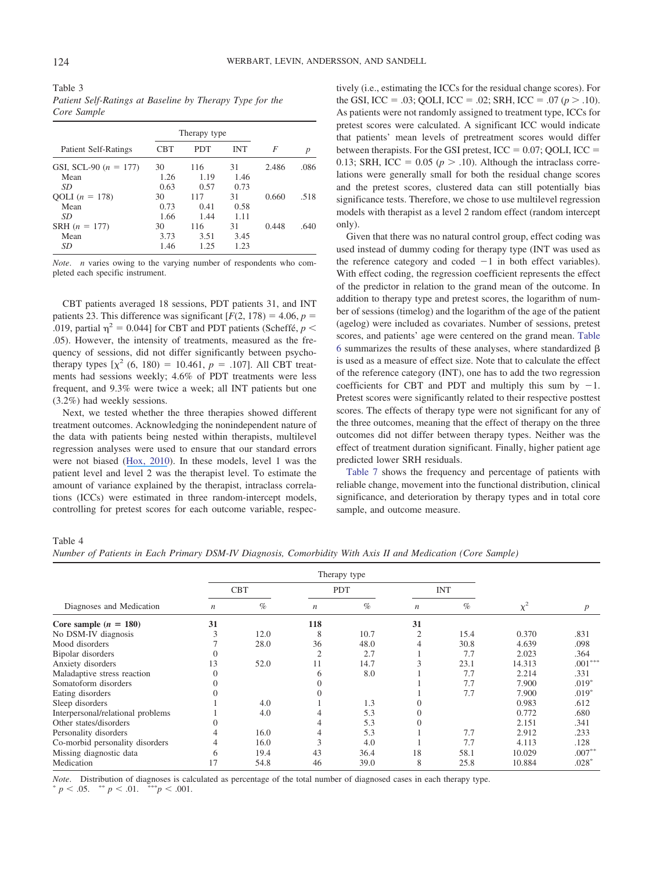| Table 3                                                  |  |  |  |
|----------------------------------------------------------|--|--|--|
| Patient Self-Ratings at Baseline by Therapy Type for the |  |  |  |
| Core Sample                                              |  |  |  |

|                         |      | Therapy type |            |       |                  |
|-------------------------|------|--------------|------------|-------|------------------|
| Patient Self-Ratings    | CBT  | PDT          | <b>INT</b> | F     | $\boldsymbol{p}$ |
| GSI, SCL-90 $(n = 177)$ | 30   | 116          | 31         | 2.486 | .086             |
| Mean                    | 1.26 | 1.19         | 1.46       |       |                  |
| SD                      | 0.63 | 0.57         | 0.73       |       |                  |
| OOLI $(n = 178)$        | 30   | 117          | 31         | 0.660 | .518             |
| Mean                    | 0.73 | 0.41         | 0.58       |       |                  |
| SD                      | 1.66 | 1.44         | 1.11       |       |                  |
| SRH $(n = 177)$         | 30   | 116          | 31         | 0.448 | .640             |
| Mean                    | 3.73 | 3.51         | 3.45       |       |                  |
| SD                      | 1.46 | 1.25         | 1.23       |       |                  |

*Note*. *n* varies owing to the varying number of respondents who completed each specific instrument.

CBT patients averaged 18 sessions, PDT patients 31, and INT patients 23. This difference was significant  $[F(2, 178) = 4.06, p =$ .019, partial  $\eta^2 = 0.044$ ] for CBT and PDT patients (Scheffé, *p* < .05). However, the intensity of treatments, measured as the frequency of sessions, did not differ significantly between psychotherapy types  $[\chi^2(6, 180) = 10.461, p = .107]$ . All CBT treatments had sessions weekly; 4.6% of PDT treatments were less frequent, and 9.3% were twice a week; all INT patients but one (3.2%) had weekly sessions.

Next, we tested whether the three therapies showed different treatment outcomes. Acknowledging the nonindependent nature of the data with patients being nested within therapists, multilevel regression analyses were used to ensure that our standard errors were not biased ([Hox, 2010](https://www.researchgate.net/publication/44832436_Multilevel_Analysis_Techniques_and_Applications?el=1_x_8&enrichId=rgreq-c7a5ae82878c7499e5662dda369a76d7-XXX&enrichSource=Y292ZXJQYWdlOzIzNjA1ODQ2NDtBUzoxMDQzNDg4ODEyNjA1NjFAMTQwMTg5MDEyMDY5Nw==)). In these models, level 1 was the patient level and level 2 was the therapist level. To estimate the amount of variance explained by the therapist, intraclass correlations (ICCs) were estimated in three random-intercept models, controlling for pretest scores for each outcome variable, respectively (i.e., estimating the ICCs for the residual change scores). For the GSI, ICC = .03; QOLI, ICC = .02; SRH, ICC = .07 ( $p > .10$ ). As patients were not randomly assigned to treatment type, ICCs for pretest scores were calculated. A significant ICC would indicate that patients' mean levels of pretreatment scores would differ between therapists. For the GSI pretest,  $ICC = 0.07$ ; QOLI,  $ICC =$ 0.13; SRH, ICC =  $0.05$  ( $p > .10$ ). Although the intraclass correlations were generally small for both the residual change scores and the pretest scores, clustered data can still potentially bias significance tests. Therefore, we chose to use multilevel regression models with therapist as a level 2 random effect (random intercept only).

Given that there was no natural control group, effect coding was used instead of dummy coding for therapy type (INT was used as the reference category and coded  $-1$  in both effect variables). With effect coding, the regression coefficient represents the effect of the predictor in relation to the grand mean of the outcome. In addition to therapy type and pretest scores, the logarithm of number of sessions (timelog) and the logarithm of the age of the patient (agelog) were included as covariates. Number of sessions, pretest scores, and patients' age were centered on the grand mean. Table 6 summarizes the results of these analyses, where standardized  $\beta$ is used as a measure of effect size. Note that to calculate the effect of the reference category (INT), one has to add the two regression coefficients for CBT and PDT and multiply this sum by  $-1$ . Pretest scores were significantly related to their respective posttest scores. The effects of therapy type were not significant for any of the three outcomes, meaning that the effect of therapy on the three outcomes did not differ between therapy types. Neither was the effect of treatment duration significant. Finally, higher patient age predicted lower SRH residuals.

Table 7 shows the frequency and percentage of patients with reliable change, movement into the functional distribution, clinical significance, and deterioration by therapy types and in total core sample, and outcome measure.

#### Table 4

*Number of Patients in Each Primary DSM-IV Diagnosis, Comorbidity With Axis II and Medication (Core Sample)*

|                                   | Therapy type     |            |                  |      |                  |            |          |           |
|-----------------------------------|------------------|------------|------------------|------|------------------|------------|----------|-----------|
|                                   |                  | <b>CBT</b> |                  | PDT  |                  | <b>INT</b> |          |           |
| Diagnoses and Medication          | $\boldsymbol{n}$ | $\%$       | $\boldsymbol{n}$ | $\%$ | $\boldsymbol{n}$ | $\%$       | $\chi^2$ | р         |
| Core sample $(n = 180)$           | 31               |            | 118              |      | 31               |            |          |           |
| No DSM-IV diagnosis               |                  | 12.0       | 8                | 10.7 |                  | 15.4       | 0.370    | .831      |
| Mood disorders                    |                  | 28.0       | 36               | 48.0 | 4                | 30.8       | 4.639    | .098      |
| Bipolar disorders                 |                  |            | $\overline{2}$   | 2.7  |                  | 7.7        | 2.023    | .364      |
| Anxiety disorders                 | 13               | 52.0       | 11               | 14.7 | n,               | 23.1       | 14.313   | $.001***$ |
| Maladaptive stress reaction       | $\Omega$         |            | 6                | 8.0  |                  | 7.7        | 2.214    | .331      |
| Somatoform disorders              |                  |            |                  |      |                  | 7.7        | 7.900    | $.019*$   |
| Eating disorders                  |                  |            |                  |      |                  | 7.7        | 7.900    | $.019*$   |
| Sleep disorders                   |                  | 4.0        |                  | 1.3  |                  |            | 0.983    | .612      |
| Interpersonal/relational problems |                  | 4.0        |                  | 5.3  |                  |            | 0.772    | .680      |
| Other states/disorders            |                  |            | 4                | 5.3  |                  |            | 2.151    | .341      |
| Personality disorders             |                  | 16.0       | 4                | 5.3  |                  | 7.7        | 2.912    | .233      |
| Co-morbid personality disorders   | 4                | 16.0       | 3                | 4.0  |                  | 7.7        | 4.113    | .128      |
| Missing diagnostic data           | 6                | 19.4       | 43               | 36.4 | 18               | 58.1       | 10.029   | $.007***$ |
| Medication                        | 17               | 54.8       | 46               | 39.0 | 8                | 25.8       | 10.884   | $.028*$   |

*Note*. Distribution of diagnoses is calculated as percentage of the total number of diagnosed cases in each therapy type. *p* < .05. *\*\* p* < .01. *\*\*\*p* < .001.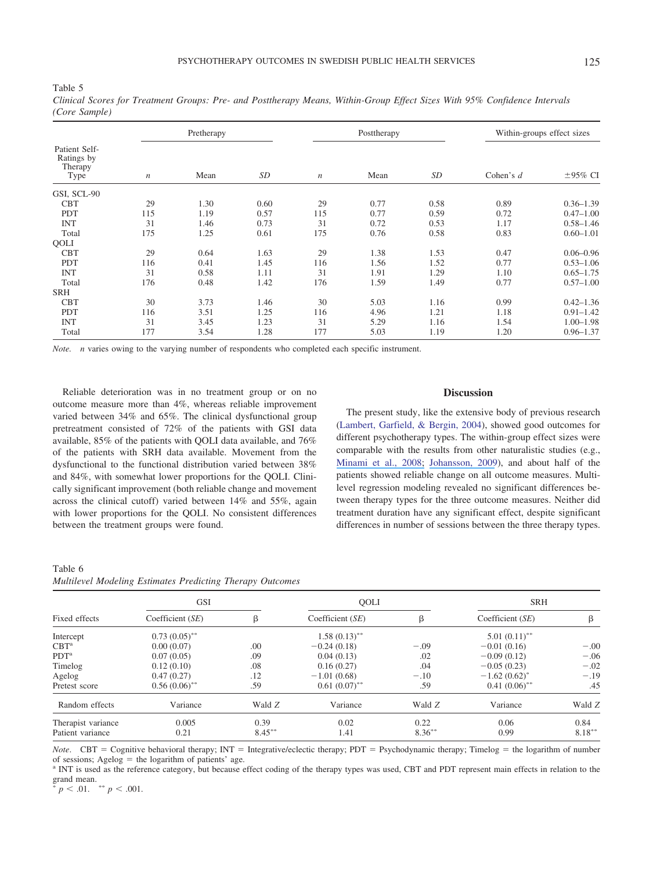Table 5 *Clinical Scores for Treatment Groups: Pre- and Posttherapy Means, Within-Group Effect Sizes With 95% Confidence Intervals (Core Sample)*

|                                                                                                                                                                                                 |     | Pretherapy |      |                  | Posttherapy |      |             | Within-groups effect sizes |
|-------------------------------------------------------------------------------------------------------------------------------------------------------------------------------------------------|-----|------------|------|------------------|-------------|------|-------------|----------------------------|
| Patient Self-<br>Ratings by<br>Therapy<br>Type<br>GSI, SCL-90<br><b>CBT</b><br><b>PDT</b><br><b>INT</b><br>Total<br><b>CBT</b><br><b>PDT</b><br><b>INT</b><br>Total<br><b>CBT</b><br><b>PDT</b> | n   | Mean       | SD   | $\boldsymbol{n}$ | Mean        | SD   | Cohen's $d$ | $\pm 95\%$ CI              |
|                                                                                                                                                                                                 |     |            |      |                  |             |      |             |                            |
|                                                                                                                                                                                                 | 29  | 1.30       | 0.60 | 29               | 0.77        | 0.58 | 0.89        | $0.36 - 1.39$              |
|                                                                                                                                                                                                 | 115 | 1.19       | 0.57 | 115              | 0.77        | 0.59 | 0.72        | $0.47 - 1.00$              |
|                                                                                                                                                                                                 | 31  | 1.46       | 0.73 | 31               | 0.72        | 0.53 | 1.17        | $0.58 - 1.46$              |
|                                                                                                                                                                                                 | 175 | 1.25       | 0.61 | 175              | 0.76        | 0.58 | 0.83        | $0.60 - 1.01$              |
| <b>OOLI</b>                                                                                                                                                                                     |     |            |      |                  |             |      |             |                            |
|                                                                                                                                                                                                 | 29  | 0.64       | 1.63 | 29               | 1.38        | 1.53 | 0.47        | $0.06 - 0.96$              |
|                                                                                                                                                                                                 | 116 | 0.41       | 1.45 | 116              | 1.56        | 1.52 | 0.77        | $0.53 - 1.06$              |
|                                                                                                                                                                                                 | 31  | 0.58       | 1.11 | 31               | 1.91        | 1.29 | 1.10        | $0.65 - 1.75$              |
|                                                                                                                                                                                                 | 176 | 0.48       | 1.42 | 176              | 1.59        | 1.49 | 0.77        | $0.57 - 1.00$              |
| <b>SRH</b>                                                                                                                                                                                      |     |            |      |                  |             |      |             |                            |
|                                                                                                                                                                                                 | 30  | 3.73       | 1.46 | 30               | 5.03        | 1.16 | 0.99        | $0.42 - 1.36$              |
|                                                                                                                                                                                                 | 116 | 3.51       | 1.25 | 116              | 4.96        | 1.21 | 1.18        | $0.91 - 1.42$              |
| <b>INT</b>                                                                                                                                                                                      | 31  | 3.45       | 1.23 | 31               | 5.29        | 1.16 | 1.54        | $1.00 - 1.98$              |
| Total                                                                                                                                                                                           | 177 | 3.54       | 1.28 | 177              | 5.03        | 1.19 | 1.20        | $0.96 - 1.37$              |

*Note. n* varies owing to the varying number of respondents who completed each specific instrument.

Reliable deterioration was in no treatment group or on no outcome measure more than 4%, whereas reliable improvement varied between 34% and 65%. The clinical dysfunctional group pretreatment consisted of 72% of the patients with GSI data available, 85% of the patients with QOLI data available, and 76% of the patients with SRH data available. Movement from the dysfunctional to the functional distribution varied between 38% and 84%, with somewhat lower proportions for the QOLI. Clinically significant improvement (both reliable change and movement across the clinical cutoff) varied between 14% and 55%, again with lower proportions for the QOLI. No consistent differences between the treatment groups were found.

#### **Discussion**

The present study, like the extensive body of previous research (Lambert, Garfield, & Bergin, 2004), showed good outcomes for different psychotherapy types. The within-group effect sizes were comparable with the results from other naturalistic studies (e.g., [Minami et al., 2008;](https://www.researchgate.net/publication/5621890_Benchmarking_the_Effectiveness_of_Psychotherapy_Treatment_for_Adult_Depression_in_a_Managed_Care_Environment_A_Preliminary_Study?el=1_x_8&enrichId=rgreq-c7a5ae82878c7499e5662dda369a76d7-XXX&enrichSource=Y292ZXJQYWdlOzIzNjA1ODQ2NDtBUzoxMDQzNDg4ODEyNjA1NjFAMTQwMTg5MDEyMDY5Nw==) [Johansson, 2009](https://www.researchgate.net/publication/23498525_Do_patients_improve_in_general_psychiatric_outpatient_care_Problem_severity_among_patients_and_the_effectiveness_of_a_psychiatric_outpatient_unit?el=1_x_8&enrichId=rgreq-c7a5ae82878c7499e5662dda369a76d7-XXX&enrichSource=Y292ZXJQYWdlOzIzNjA1ODQ2NDtBUzoxMDQzNDg4ODEyNjA1NjFAMTQwMTg5MDEyMDY5Nw==)), and about half of the patients showed reliable change on all outcome measures. Multilevel regression modeling revealed no significant differences between therapy types for the three outcome measures. Neither did treatment duration have any significant effect, despite significant differences in number of sessions between the three therapy types.

Table 6 *Multilevel Modeling Estimates Predicting Therapy Outcomes*

|                    | <b>GSI</b>       |           | <b>OOLI</b>        |           | <b>SRH</b>                 |           |
|--------------------|------------------|-----------|--------------------|-----------|----------------------------|-----------|
| Fixed effects      | Coefficient (SE) | β         | Coefficient $(SE)$ | β         | Coefficient $(SE)$         | β         |
| Intercept          | $0.73(0.05)$ **  |           | $1.58(0.13)$ **    |           | $5.01(0.11)$ <sup>**</sup> |           |
| CBT <sup>a</sup>   | 0.00(0.07)       | .00       | $-0.24(0.18)$      | $-.09$    | $-0.01(0.16)$              | $-.00$    |
| PDT <sup>a</sup>   | 0.07(0.05)       | .09       | 0.04(0.13)         | .02       | $-0.09(0.12)$              | $-.06$    |
| Timelog            | 0.12(0.10)       | .08       | 0.16(0.27)         | .04       | $-0.05(0.23)$              | $-.02$    |
| Agelog             | 0.47(0.27)       | .12       | $-1.01(0.68)$      | $-.10$    | $-1.62(0.62)^{*}$          | $-.19$    |
| Pretest score      | $0.56(0.06)$ **  | .59       | $0.61(0.07)$ **    | .59       | $0.41(0.06)$ **            | .45       |
| Random effects     | Variance         | Wald Z    | Variance           | Wald Z    | Variance                   | Wald Z    |
| Therapist variance | 0.005            | 0.39      | 0.02               | 0.22      | 0.06                       | 0.84      |
| Patient variance   | 0.21             | $8.45***$ | 1.41               | $8.36***$ | 0.99                       | $8.18***$ |

*Note*. CBT = Cognitive behavioral therapy; INT = Integrative/eclectic therapy; PDT = Psychodynamic therapy; Timelog = the logarithm of number of sessions; Agelog = the logarithm of patients' age.

<sup>a</sup> INT is used as the reference category, but because effect coding of the therapy types was used, CBT and PDT represent main effects in relation to the grand mean.

 $p < .01.$  \*\*  $p < .001.$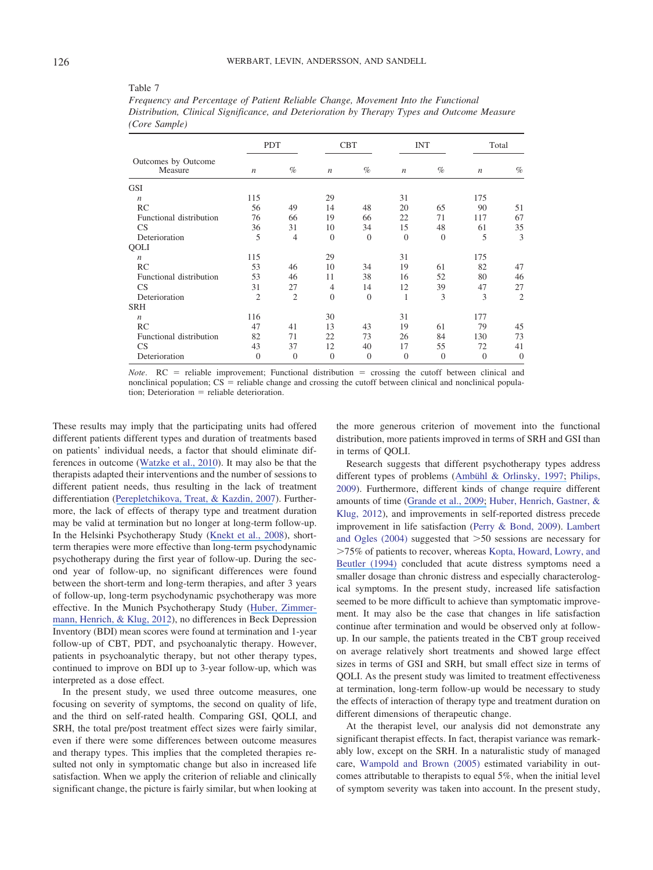#### Table 7

*Frequency and Percentage of Patient Reliable Change, Movement Into the Functional Distribution, Clinical Significance, and Deterioration by Therapy Types and Outcome Measure (Core Sample)*

|                                | PDT              |                |                  | <b>CBT</b> |                  | <b>INT</b>   | Total            |                |
|--------------------------------|------------------|----------------|------------------|------------|------------------|--------------|------------------|----------------|
| Outcomes by Outcome<br>Measure | $\boldsymbol{n}$ | $\%$           | $\boldsymbol{n}$ | $\%$       | $\boldsymbol{n}$ | $\%$         | $\boldsymbol{n}$ | $\%$           |
| <b>GSI</b>                     |                  |                |                  |            |                  |              |                  |                |
| $\,$                           | 115              |                | 29               |            | 31               |              | 175              |                |
| RC                             | 56               | 49             | 14               | 48         | 20               | 65           | 90               | 51             |
| Functional distribution        | 76               | 66             | 19               | 66         | 22               | 71           | 117              | 67             |
| <b>CS</b>                      | 36               | 31             | 10               | 34         | 15               | 48           | 61               | 35             |
| Deterioration                  | 5                | 4              | $\theta$         | $\theta$   | $\overline{0}$   | $\Omega$     | 5                | 3              |
| QOLI                           |                  |                |                  |            |                  |              |                  |                |
| $\boldsymbol{n}$               | 115              |                | 29               |            | 31               |              | 175              |                |
| RC                             | 53               | 46             | 10               | 34         | 19               | 61           | 82               | 47             |
| Functional distribution        | 53               | 46             | 11               | 38         | 16               | 52           | 80               | 46             |
| <b>CS</b>                      | 31               | 27             | $\overline{4}$   | 14         | 12               | 39           | 47               | 27             |
| Deterioration                  | $\overline{2}$   | $\overline{2}$ | $\mathbf{0}$     | $\theta$   | 1                | 3            | 3                | $\overline{2}$ |
| <b>SRH</b>                     |                  |                |                  |            |                  |              |                  |                |
| $\boldsymbol{n}$               | 116              |                | 30               |            | 31               |              | 177              |                |
| RC                             | 47               | 41             | 13               | 43         | 19               | 61           | 79               | 45             |
| Functional distribution        | 82               | 71             | 22               | 73         | 26               | 84           | 130              | 73             |
| CS                             | 43               | 37             | 12               | 40         | 17               | 55           | 72               | 41             |
| Deterioration                  | $\overline{0}$   | $\overline{0}$ | $\theta$         | $\theta$   | $\overline{0}$   | $\mathbf{0}$ | $\overline{0}$   | $\theta$       |

*Note*. RC = reliable improvement; Functional distribution = crossing the cutoff between clinical and nonclinical population;  $CS =$  reliable change and crossing the cutoff between clinical and nonclinical population; Deterioration  $=$  reliable deterioration.

These results may imply that the participating units had offered different patients different types and duration of treatments based on patients' individual needs, a factor that should eliminate differences in outcome ([Watzke et al., 2010](https://www.researchgate.net/publication/45461408_Effectiveness_of_systematic_treatment_selection_for_psychodynamic_and_cognitive-behavioural_therapy_Randomised_controlled_trial_in_routine_mental_healthcare?el=1_x_8&enrichId=rgreq-c7a5ae82878c7499e5662dda369a76d7-XXX&enrichSource=Y292ZXJQYWdlOzIzNjA1ODQ2NDtBUzoxMDQzNDg4ODEyNjA1NjFAMTQwMTg5MDEyMDY5Nw==)). It may also be that the therapists adapted their interventions and the number of sessions to different patient needs, thus resulting in the lack of treatment differentiation ([Perepletchikova, Treat, & Kazdin, 2007](https://www.researchgate.net/publication/5762632_Treatment_Integrity_in_Psychotherapy_Research_Analysis_of_the_Studies_and_Examination_of_the_Associated_Factors?el=1_x_8&enrichId=rgreq-c7a5ae82878c7499e5662dda369a76d7-XXX&enrichSource=Y292ZXJQYWdlOzIzNjA1ODQ2NDtBUzoxMDQzNDg4ODEyNjA1NjFAMTQwMTg5MDEyMDY5Nw==)). Furthermore, the lack of effects of therapy type and treatment duration may be valid at termination but no longer at long-term follow-up. In the Helsinki Psychotherapy Study ([Knekt et al., 2008](https://www.researchgate.net/publication/5842489_Randomized_trial_on_the_effectiveness_of_long-_and_short-term_psychodynamic_psychotherapy_and_solution-focused_therapy_on_psychiatric_symptoms_during_3-year_follow-up?el=1_x_8&enrichId=rgreq-c7a5ae82878c7499e5662dda369a76d7-XXX&enrichSource=Y292ZXJQYWdlOzIzNjA1ODQ2NDtBUzoxMDQzNDg4ODEyNjA1NjFAMTQwMTg5MDEyMDY5Nw==)), shortterm therapies were more effective than long-term psychodynamic psychotherapy during the first year of follow-up. During the second year of follow-up, no significant differences were found between the short-term and long-term therapies, and after 3 years of follow-up, long-term psychodynamic psychotherapy was more effective. In the Munich Psychotherapy Study ([Huber, Zimmer](https://www.researchgate.net/publication/230871384_Comparison_of_cognitive-behaviour_therapy_with_psychoanalytic_and_psychodynamic_therapy_for_depressed_patients_-_A_three-year_follow-up_study?el=1_x_8&enrichId=rgreq-c7a5ae82878c7499e5662dda369a76d7-XXX&enrichSource=Y292ZXJQYWdlOzIzNjA1ODQ2NDtBUzoxMDQzNDg4ODEyNjA1NjFAMTQwMTg5MDEyMDY5Nw==)[mann, Henrich, & Klug, 2012](https://www.researchgate.net/publication/230871384_Comparison_of_cognitive-behaviour_therapy_with_psychoanalytic_and_psychodynamic_therapy_for_depressed_patients_-_A_three-year_follow-up_study?el=1_x_8&enrichId=rgreq-c7a5ae82878c7499e5662dda369a76d7-XXX&enrichSource=Y292ZXJQYWdlOzIzNjA1ODQ2NDtBUzoxMDQzNDg4ODEyNjA1NjFAMTQwMTg5MDEyMDY5Nw==)), no differences in Beck Depression Inventory (BDI) mean scores were found at termination and 1-year follow-up of CBT, PDT, and psychoanalytic therapy. However, patients in psychoanalytic therapy, but not other therapy types, continued to improve on BDI up to 3-year follow-up, which was interpreted as a dose effect.

In the present study, we used three outcome measures, one focusing on severity of symptoms, the second on quality of life, and the third on self-rated health. Comparing GSI, QOLI, and SRH, the total pre/post treatment effect sizes were fairly similar, even if there were some differences between outcome measures and therapy types. This implies that the completed therapies resulted not only in symptomatic change but also in increased life satisfaction. When we apply the criterion of reliable and clinically significant change, the picture is fairly similar, but when looking at

the more generous criterion of movement into the functional distribution, more patients improved in terms of SRH and GSI than in terms of QOLI.

Research suggests that different psychotherapy types address different types of problems ([Ambühl & Orlinsky, 1997;](https://www.researchgate.net/publication/225389458_Zum_Einfluss_der_theoretischen_Orientierung_auf_die_psychotherapeutische_Praxis?el=1_x_8&enrichId=rgreq-c7a5ae82878c7499e5662dda369a76d7-XXX&enrichSource=Y292ZXJQYWdlOzIzNjA1ODQ2NDtBUzoxMDQzNDg4ODEyNjA1NjFAMTQwMTg5MDEyMDY5Nw==) Philips, 2009). Furthermore, different kinds of change require different amounts of time ([Grande et al., 2009;](https://www.researchgate.net/publication/41563603_Structural_change_as_a_predictor_of_long-term_follow-up_outcome?el=1_x_8&enrichId=rgreq-c7a5ae82878c7499e5662dda369a76d7-XXX&enrichSource=Y292ZXJQYWdlOzIzNjA1ODQ2NDtBUzoxMDQzNDg4ODEyNjA1NjFAMTQwMTg5MDEyMDY5Nw==) Huber, Henrich, Gastner, & Klug, 2012), and improvements in self-reported distress precede improvement in life satisfaction (Perry & Bond, 2009). Lambert and Ogles  $(2004)$  suggested that  $> 50$  sessions are necessary for 75% of patients to recover, whereas Kopta, Howard, Lowry, and [Beutler \(1994\)](https://www.researchgate.net/publication/15391916_Patterns_of_symptomatic_recovery_in_psychotherapy?el=1_x_8&enrichId=rgreq-c7a5ae82878c7499e5662dda369a76d7-XXX&enrichSource=Y292ZXJQYWdlOzIzNjA1ODQ2NDtBUzoxMDQzNDg4ODEyNjA1NjFAMTQwMTg5MDEyMDY5Nw==) concluded that acute distress symptoms need a smaller dosage than chronic distress and especially characterological symptoms. In the present study, increased life satisfaction seemed to be more difficult to achieve than symptomatic improvement. It may also be the case that changes in life satisfaction continue after termination and would be observed only at followup. In our sample, the patients treated in the CBT group received on average relatively short treatments and showed large effect sizes in terms of GSI and SRH, but small effect size in terms of QOLI. As the present study was limited to treatment effectiveness at termination, long-term follow-up would be necessary to study the effects of interaction of therapy type and treatment duration on different dimensions of therapeutic change.

At the therapist level, our analysis did not demonstrate any significant therapist effects. In fact, therapist variance was remarkably low, except on the SRH. In a naturalistic study of managed care, Wampold and Brown (2005) estimated variability in outcomes attributable to therapists to equal 5%, when the initial level of symptom severity was taken into account. In the present study,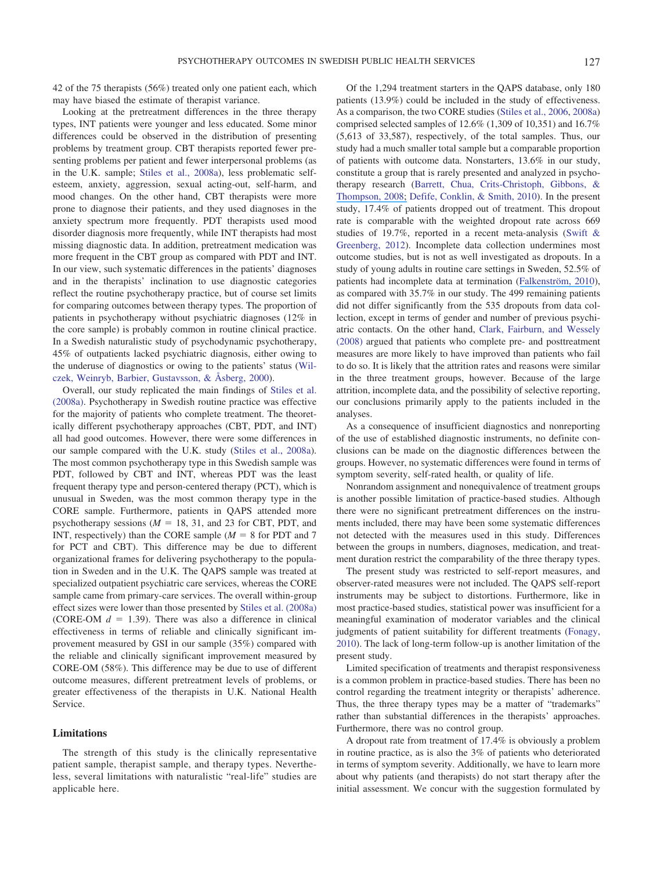42 of the 75 therapists (56%) treated only one patient each, which may have biased the estimate of therapist variance.

Looking at the pretreatment differences in the three therapy types, INT patients were younger and less educated. Some minor differences could be observed in the distribution of presenting problems by treatment group. CBT therapists reported fewer presenting problems per patient and fewer interpersonal problems (as in the U.K. sample; Stiles et al., 2008a), less problematic selfesteem, anxiety, aggression, sexual acting-out, self-harm, and mood changes. On the other hand, CBT therapists were more prone to diagnose their patients, and they used diagnoses in the anxiety spectrum more frequently. PDT therapists used mood disorder diagnosis more frequently, while INT therapists had most missing diagnostic data. In addition, pretreatment medication was more frequent in the CBT group as compared with PDT and INT. In our view, such systematic differences in the patients' diagnoses and in the therapists' inclination to use diagnostic categories reflect the routine psychotherapy practice, but of course set limits for comparing outcomes between therapy types. The proportion of patients in psychotherapy without psychiatric diagnoses (12% in the core sample) is probably common in routine clinical practice. In a Swedish naturalistic study of psychodynamic psychotherapy, 45% of outpatients lacked psychiatric diagnosis, either owing to the underuse of diagnostics or owing to the patients' status (Wilczek, Weinryb, Barbier, Gustavsson, & Åsberg, 2000).

Overall, our study replicated the main findings of Stiles et al. (2008a). Psychotherapy in Swedish routine practice was effective for the majority of patients who complete treatment. The theoretically different psychotherapy approaches (CBT, PDT, and INT) all had good outcomes. However, there were some differences in our sample compared with the U.K. study (Stiles et al., 2008a). The most common psychotherapy type in this Swedish sample was PDT, followed by CBT and INT, whereas PDT was the least frequent therapy type and person-centered therapy (PCT), which is unusual in Sweden, was the most common therapy type in the CORE sample. Furthermore, patients in QAPS attended more psychotherapy sessions  $(M = 18, 31,$  and 23 for CBT, PDT, and INT, respectively) than the CORE sample  $(M = 8$  for PDT and 7 for PCT and CBT). This difference may be due to different organizational frames for delivering psychotherapy to the population in Sweden and in the U.K. The QAPS sample was treated at specialized outpatient psychiatric care services, whereas the CORE sample came from primary-care services. The overall within-group effect sizes were lower than those presented by Stiles et al. (2008a) (CORE-OM  $d = 1.39$ ). There was also a difference in clinical effectiveness in terms of reliable and clinically significant improvement measured by GSI in our sample (35%) compared with the reliable and clinically significant improvement measured by CORE-OM (58%). This difference may be due to use of different outcome measures, different pretreatment levels of problems, or greater effectiveness of the therapists in U.K. National Health Service.

#### **Limitations**

The strength of this study is the clinically representative patient sample, therapist sample, and therapy types. Nevertheless, several limitations with naturalistic "real-life" studies are applicable here.

Of the 1,294 treatment starters in the QAPS database, only 180 patients (13.9%) could be included in the study of effectiveness. As a comparison, the two CORE studies (Stiles et al., 2006, 2008a) comprised selected samples of 12.6% (1,309 of 10,351) and 16.7% (5,613 of 33,587), respectively, of the total samples. Thus, our study had a much smaller total sample but a comparable proportion of patients with outcome data. Nonstarters, 13.6% in our study, constitute a group that is rarely presented and analyzed in psychotherapy research (Barrett, Chua, Crits-Christoph, Gibbons, & [Thompson, 2008;](https://www.researchgate.net/publication/38019465_Early_withdrawal_from_mental_health_treatment_Implications_for_psychotherapy_practice?el=1_x_8&enrichId=rgreq-c7a5ae82878c7499e5662dda369a76d7-XXX&enrichSource=Y292ZXJQYWdlOzIzNjA1ODQ2NDtBUzoxMDQzNDg4ODEyNjA1NjFAMTQwMTg5MDEyMDY5Nw==) Defife, Conklin, & Smith, 2010). In the present study, 17.4% of patients dropped out of treatment. This dropout rate is comparable with the weighted dropout rate across 669 studies of 19.7%, reported in a recent meta-analysis (Swift & Greenberg, 2012). Incomplete data collection undermines most outcome studies, but is not as well investigated as dropouts. In a study of young adults in routine care settings in Sweden, 52.5% of patients had incomplete data at termination ([Falkenström, 2010](https://www.researchgate.net/publication/26886927_Does_psychotherapy_for_young_adults_in_routine_practice_show_similar_results_as_therapy_in_randomized_clinical_trials?el=1_x_8&enrichId=rgreq-c7a5ae82878c7499e5662dda369a76d7-XXX&enrichSource=Y292ZXJQYWdlOzIzNjA1ODQ2NDtBUzoxMDQzNDg4ODEyNjA1NjFAMTQwMTg5MDEyMDY5Nw==)), as compared with 35.7% in our study. The 499 remaining patients did not differ significantly from the 535 dropouts from data collection, except in terms of gender and number of previous psychiatric contacts. On the other hand, Clark, Fairburn, and Wessely (2008) argued that patients who complete pre- and posttreatment measures are more likely to have improved than patients who fail to do so. It is likely that the attrition rates and reasons were similar in the three treatment groups, however. Because of the large attrition, incomplete data, and the possibility of selective reporting, our conclusions primarily apply to the patients included in the analyses.

As a consequence of insufficient diagnostics and nonreporting of the use of established diagnostic instruments, no definite conclusions can be made on the diagnostic differences between the groups. However, no systematic differences were found in terms of symptom severity, self-rated health, or quality of life.

Nonrandom assignment and nonequivalence of treatment groups is another possible limitation of practice-based studies. Although there were no significant pretreatment differences on the instruments included, there may have been some systematic differences not detected with the measures used in this study. Differences between the groups in numbers, diagnoses, medication, and treatment duration restrict the comparability of the three therapy types.

The present study was restricted to self-report measures, and observer-rated measures were not included. The QAPS self-report instruments may be subject to distortions. Furthermore, like in most practice-based studies, statistical power was insufficient for a meaningful examination of moderator variables and the clinical judgments of patient suitability for different treatments (Fonagy, 2010). The lack of long-term follow-up is another limitation of the present study.

Limited specification of treatments and therapist responsiveness is a common problem in practice-based studies. There has been no control regarding the treatment integrity or therapists' adherence. Thus, the three therapy types may be a matter of "trademarks" rather than substantial differences in the therapists' approaches. Furthermore, there was no control group.

A dropout rate from treatment of 17.4% is obviously a problem in routine practice, as is also the 3% of patients who deteriorated in terms of symptom severity. Additionally, we have to learn more about why patients (and therapists) do not start therapy after the initial assessment. We concur with the suggestion formulated by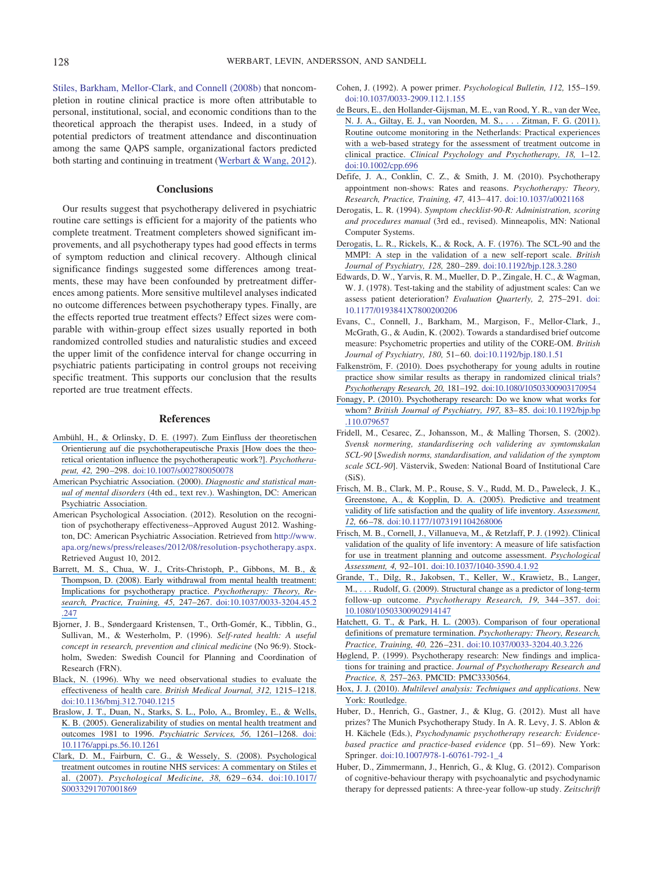Stiles, Barkham, Mellor-Clark, and Connell (2008b) that noncompletion in routine clinical practice is more often attributable to personal, institutional, social, and economic conditions than to the theoretical approach the therapist uses. Indeed, in a study of potential predictors of treatment attendance and discontinuation among the same QAPS sample, organizational factors predicted both starting and continuing in treatment ([Werbart & Wang, 2012](https://www.researchgate.net/publication/233761020_Predictors_of_not_starting_and_dropping_out_from_psychotherapy_in_Swedish_public_service_settings?el=1_x_8&enrichId=rgreq-c7a5ae82878c7499e5662dda369a76d7-XXX&enrichSource=Y292ZXJQYWdlOzIzNjA1ODQ2NDtBUzoxMDQzNDg4ODEyNjA1NjFAMTQwMTg5MDEyMDY5Nw==)).

#### **Conclusions**

Our results suggest that psychotherapy delivered in psychiatric routine care settings is efficient for a majority of the patients who complete treatment. Treatment completers showed significant improvements, and all psychotherapy types had good effects in terms of symptom reduction and clinical recovery. Although clinical significance findings suggested some differences among treatments, these may have been confounded by pretreatment differences among patients. More sensitive multilevel analyses indicated no outcome differences between psychotherapy types. Finally, are the effects reported true treatment effects? Effect sizes were comparable with within-group effect sizes usually reported in both randomized controlled studies and naturalistic studies and exceed the upper limit of the confidence interval for change occurring in psychiatric patients participating in control groups not receiving specific treatment. This supports our conclusion that the results reported are true treatment effects.

#### **References**

- [Ambühl, H., & Orlinsky, D. E. \(1997\). Zum Einfluss der theoretischen](https://www.researchgate.net/publication/225389458_Zum_Einfluss_der_theoretischen_Orientierung_auf_die_psychotherapeutische_Praxis?el=1_x_8&enrichId=rgreq-c7a5ae82878c7499e5662dda369a76d7-XXX&enrichSource=Y292ZXJQYWdlOzIzNjA1ODQ2NDtBUzoxMDQzNDg4ODEyNjA1NjFAMTQwMTg5MDEyMDY5Nw==) [Orientierung auf die psychotherapeutische Praxis \[How does the theo](https://www.researchgate.net/publication/225389458_Zum_Einfluss_der_theoretischen_Orientierung_auf_die_psychotherapeutische_Praxis?el=1_x_8&enrichId=rgreq-c7a5ae82878c7499e5662dda369a76d7-XXX&enrichSource=Y292ZXJQYWdlOzIzNjA1ODQ2NDtBUzoxMDQzNDg4ODEyNjA1NjFAMTQwMTg5MDEyMDY5Nw==)[retical orientation influence the psychotherapeutic work?\].](https://www.researchgate.net/publication/225389458_Zum_Einfluss_der_theoretischen_Orientierung_auf_die_psychotherapeutische_Praxis?el=1_x_8&enrichId=rgreq-c7a5ae82878c7499e5662dda369a76d7-XXX&enrichSource=Y292ZXJQYWdlOzIzNjA1ODQ2NDtBUzoxMDQzNDg4ODEyNjA1NjFAMTQwMTg5MDEyMDY5Nw==) *Psychotherapeut, 42,* 290 –298. [doi:10.1007/s002780050078](http://dx.doi.org/10.1007/s002780050078)
- [American Psychiatric Association. \(2000\).](https://www.researchgate.net/publication/236017807_Diagnostic_and_Statistical_Manual_of_Mental_Disorders_DSM-V?el=1_x_8&enrichId=rgreq-c7a5ae82878c7499e5662dda369a76d7-XXX&enrichSource=Y292ZXJQYWdlOzIzNjA1ODQ2NDtBUzoxMDQzNDg4ODEyNjA1NjFAMTQwMTg5MDEyMDY5Nw==) *Diagnostic and statistical manual of mental disorders* [\(4th ed., text rev.\). Washington, DC: American](https://www.researchgate.net/publication/236017807_Diagnostic_and_Statistical_Manual_of_Mental_Disorders_DSM-V?el=1_x_8&enrichId=rgreq-c7a5ae82878c7499e5662dda369a76d7-XXX&enrichSource=Y292ZXJQYWdlOzIzNjA1ODQ2NDtBUzoxMDQzNDg4ODEyNjA1NjFAMTQwMTg5MDEyMDY5Nw==) [Psychiatric Association.](https://www.researchgate.net/publication/236017807_Diagnostic_and_Statistical_Manual_of_Mental_Disorders_DSM-V?el=1_x_8&enrichId=rgreq-c7a5ae82878c7499e5662dda369a76d7-XXX&enrichSource=Y292ZXJQYWdlOzIzNjA1ODQ2NDtBUzoxMDQzNDg4ODEyNjA1NjFAMTQwMTg5MDEyMDY5Nw==)
- American Psychological Association. (2012). Resolution on the recognition of psychotherapy effectiveness–Approved August 2012. Washington, DC: American Psychiatric Association. Retrieved from [http://www.](http://www.apa.org/news/press/releases/2012/08/resolution-psychotherapy.aspx) [apa.org/news/press/releases/2012/08/resolution-psychotherapy.aspx.](http://www.apa.org/news/press/releases/2012/08/resolution-psychotherapy.aspx) Retrieved August 10, 2012.
- [Barrett, M. S., Chua, W. J., Crits-Christoph, P., Gibbons, M. B., &](https://www.researchgate.net/publication/38019465_Early_withdrawal_from_mental_health_treatment_Implications_for_psychotherapy_practice?el=1_x_8&enrichId=rgreq-c7a5ae82878c7499e5662dda369a76d7-XXX&enrichSource=Y292ZXJQYWdlOzIzNjA1ODQ2NDtBUzoxMDQzNDg4ODEyNjA1NjFAMTQwMTg5MDEyMDY5Nw==) [Thompson, D. \(2008\). Early withdrawal from mental health treatment:](https://www.researchgate.net/publication/38019465_Early_withdrawal_from_mental_health_treatment_Implications_for_psychotherapy_practice?el=1_x_8&enrichId=rgreq-c7a5ae82878c7499e5662dda369a76d7-XXX&enrichSource=Y292ZXJQYWdlOzIzNjA1ODQ2NDtBUzoxMDQzNDg4ODEyNjA1NjFAMTQwMTg5MDEyMDY5Nw==) [Implications for psychotherapy practice.](https://www.researchgate.net/publication/38019465_Early_withdrawal_from_mental_health_treatment_Implications_for_psychotherapy_practice?el=1_x_8&enrichId=rgreq-c7a5ae82878c7499e5662dda369a76d7-XXX&enrichSource=Y292ZXJQYWdlOzIzNjA1ODQ2NDtBUzoxMDQzNDg4ODEyNjA1NjFAMTQwMTg5MDEyMDY5Nw==) *Psychotherapy: Theory, Re[search, Practice, Training, 45,](https://www.researchgate.net/publication/38019465_Early_withdrawal_from_mental_health_treatment_Implications_for_psychotherapy_practice?el=1_x_8&enrichId=rgreq-c7a5ae82878c7499e5662dda369a76d7-XXX&enrichSource=Y292ZXJQYWdlOzIzNjA1ODQ2NDtBUzoxMDQzNDg4ODEyNjA1NjFAMTQwMTg5MDEyMDY5Nw==)* 247–267. [doi:10.1037/0033-3204.45.2](http://dx.doi.org/10.1037/0033-3204.45.2.247) [.247](http://dx.doi.org/10.1037/0033-3204.45.2.247)
- Bjorner, J. B., Søndergaard Kristensen, T., Orth-Gomér, K., Tibblin, G., Sullivan, M., & Westerholm, P. (1996). *Self-rated health: A useful concept in research, prevention and clinical medicine* (No 96:9). Stockholm, Sweden: Swedish Council for Planning and Coordination of Research (FRN).
- [Black, N. \(1996\). Why we need observational studies to evaluate the](https://www.researchgate.net/publication/14565130_Why_we_need_observational_studies_to_evaluate_the_effectiveness_of_health_care?el=1_x_8&enrichId=rgreq-c7a5ae82878c7499e5662dda369a76d7-XXX&enrichSource=Y292ZXJQYWdlOzIzNjA1ODQ2NDtBUzoxMDQzNDg4ODEyNjA1NjFAMTQwMTg5MDEyMDY5Nw==) effectiveness of health care. *[British Medical Journal, 312,](https://www.researchgate.net/publication/14565130_Why_we_need_observational_studies_to_evaluate_the_effectiveness_of_health_care?el=1_x_8&enrichId=rgreq-c7a5ae82878c7499e5662dda369a76d7-XXX&enrichSource=Y292ZXJQYWdlOzIzNjA1ODQ2NDtBUzoxMDQzNDg4ODEyNjA1NjFAMTQwMTg5MDEyMDY5Nw==)* 1215–1218. [doi:10.1136/bmj.312.7040.1215](http://dx.doi.org/10.1136/bmj.312.7040.1215)
- [Braslow, J. T., Duan, N., Starks, S. L., Polo, A., Bromley, E., & Wells,](https://www.researchgate.net/publication/7551082_Generalizability_of_Studies_on_Mental_Health_Treatment_and_Outcomes_1981_to_1996?el=1_x_8&enrichId=rgreq-c7a5ae82878c7499e5662dda369a76d7-XXX&enrichSource=Y292ZXJQYWdlOzIzNjA1ODQ2NDtBUzoxMDQzNDg4ODEyNjA1NjFAMTQwMTg5MDEyMDY5Nw==) [K. B. \(2005\). Generalizability of studies on mental health treatment and](https://www.researchgate.net/publication/7551082_Generalizability_of_Studies_on_Mental_Health_Treatment_and_Outcomes_1981_to_1996?el=1_x_8&enrichId=rgreq-c7a5ae82878c7499e5662dda369a76d7-XXX&enrichSource=Y292ZXJQYWdlOzIzNjA1ODQ2NDtBUzoxMDQzNDg4ODEyNjA1NjFAMTQwMTg5MDEyMDY5Nw==) [outcomes 1981 to 1996.](https://www.researchgate.net/publication/7551082_Generalizability_of_Studies_on_Mental_Health_Treatment_and_Outcomes_1981_to_1996?el=1_x_8&enrichId=rgreq-c7a5ae82878c7499e5662dda369a76d7-XXX&enrichSource=Y292ZXJQYWdlOzIzNjA1ODQ2NDtBUzoxMDQzNDg4ODEyNjA1NjFAMTQwMTg5MDEyMDY5Nw==) *Psychiatric Services, 56,* 1261–1268. [doi:](http://dx.doi.org/10.1176/appi.ps.56.10.1261) [10.1176/appi.ps.56.10.1261](http://dx.doi.org/10.1176/appi.ps.56.10.1261)
- [Clark, D. M., Fairburn, C. G., & Wessely, S. \(2008\). Psychological](https://www.researchgate.net/publication/5922017_Psychological_treatment_outcomes_in_routine_NHS_services_A_commentary_on_Stiles_et_al_2007?el=1_x_8&enrichId=rgreq-c7a5ae82878c7499e5662dda369a76d7-XXX&enrichSource=Y292ZXJQYWdlOzIzNjA1ODQ2NDtBUzoxMDQzNDg4ODEyNjA1NjFAMTQwMTg5MDEyMDY5Nw==) [treatment outcomes in routine NHS services: A commentary on Stiles et](https://www.researchgate.net/publication/5922017_Psychological_treatment_outcomes_in_routine_NHS_services_A_commentary_on_Stiles_et_al_2007?el=1_x_8&enrichId=rgreq-c7a5ae82878c7499e5662dda369a76d7-XXX&enrichSource=Y292ZXJQYWdlOzIzNjA1ODQ2NDtBUzoxMDQzNDg4ODEyNjA1NjFAMTQwMTg5MDEyMDY5Nw==) al. (2007). *[Psychological Medicine, 38,](https://www.researchgate.net/publication/5922017_Psychological_treatment_outcomes_in_routine_NHS_services_A_commentary_on_Stiles_et_al_2007?el=1_x_8&enrichId=rgreq-c7a5ae82878c7499e5662dda369a76d7-XXX&enrichSource=Y292ZXJQYWdlOzIzNjA1ODQ2NDtBUzoxMDQzNDg4ODEyNjA1NjFAMTQwMTg5MDEyMDY5Nw==)* 629 – 634. [doi:10.1017/](http://dx.doi.org/10.1017/S0033291707001869) [S0033291707001869](http://dx.doi.org/10.1017/S0033291707001869)
- Cohen, J. (1992). A power primer. *Psychological Bulletin, 112,* 155–159. [doi:10.1037/0033-2909.112.1.155](http://dx.doi.org/10.1037/0033-2909.112.1.155)
- [de Beurs, E., den Hollander-Gijsman, M. E., van Rood, Y. R., van der Wee,](https://www.researchgate.net/publication/42256402_Routine_Outcome_Monitoring_in_the_Netherlands_Practical_Experiences_with_a_Web-Based_Strategy_for_the_Assessment_of_Treatment_Outcome_in_Clinical_Practice?el=1_x_8&enrichId=rgreq-c7a5ae82878c7499e5662dda369a76d7-XXX&enrichSource=Y292ZXJQYWdlOzIzNjA1ODQ2NDtBUzoxMDQzNDg4ODEyNjA1NjFAMTQwMTg5MDEyMDY5Nw==) [N. J. A., Giltay, E. J., van Noorden, M. S.,...](https://www.researchgate.net/publication/42256402_Routine_Outcome_Monitoring_in_the_Netherlands_Practical_Experiences_with_a_Web-Based_Strategy_for_the_Assessment_of_Treatment_Outcome_in_Clinical_Practice?el=1_x_8&enrichId=rgreq-c7a5ae82878c7499e5662dda369a76d7-XXX&enrichSource=Y292ZXJQYWdlOzIzNjA1ODQ2NDtBUzoxMDQzNDg4ODEyNjA1NjFAMTQwMTg5MDEyMDY5Nw==) Zitman, F. G. (2011). [Routine outcome monitoring in the Netherlands: Practical experiences](https://www.researchgate.net/publication/42256402_Routine_Outcome_Monitoring_in_the_Netherlands_Practical_Experiences_with_a_Web-Based_Strategy_for_the_Assessment_of_Treatment_Outcome_in_Clinical_Practice?el=1_x_8&enrichId=rgreq-c7a5ae82878c7499e5662dda369a76d7-XXX&enrichSource=Y292ZXJQYWdlOzIzNjA1ODQ2NDtBUzoxMDQzNDg4ODEyNjA1NjFAMTQwMTg5MDEyMDY5Nw==) [with a web-based strategy for the assessment of treatment outcome in](https://www.researchgate.net/publication/42256402_Routine_Outcome_Monitoring_in_the_Netherlands_Practical_Experiences_with_a_Web-Based_Strategy_for_the_Assessment_of_Treatment_Outcome_in_Clinical_Practice?el=1_x_8&enrichId=rgreq-c7a5ae82878c7499e5662dda369a76d7-XXX&enrichSource=Y292ZXJQYWdlOzIzNjA1ODQ2NDtBUzoxMDQzNDg4ODEyNjA1NjFAMTQwMTg5MDEyMDY5Nw==) clinical practice. *[Clinical Psychology and Psychotherapy, 18,](https://www.researchgate.net/publication/42256402_Routine_Outcome_Monitoring_in_the_Netherlands_Practical_Experiences_with_a_Web-Based_Strategy_for_the_Assessment_of_Treatment_Outcome_in_Clinical_Practice?el=1_x_8&enrichId=rgreq-c7a5ae82878c7499e5662dda369a76d7-XXX&enrichSource=Y292ZXJQYWdlOzIzNjA1ODQ2NDtBUzoxMDQzNDg4ODEyNjA1NjFAMTQwMTg5MDEyMDY5Nw==)* 1–12. [doi:10.1002/cpp.696](http://dx.doi.org/10.1002/cpp.696)
- Defife, J. A., Conklin, C. Z., & Smith, J. M. (2010). Psychotherapy appointment non-shows: Rates and reasons. *Psychotherapy: Theory, Research, Practice, Training, 47,* 413– 417. [doi:10.1037/a0021168](http://dx.doi.org/10.1037/a0021168)
- Derogatis, L. R. (1994). *Symptom checklist-90-R: Administration, scoring and procedures manual* (3rd ed., revised). Minneapolis, MN: National Computer Systems.
- [Derogatis, L. R., Rickels, K., & Rock, A. F. \(1976\). The SCL-90 and the](https://www.researchgate.net/publication/21902394_The_SCL-90_and_the_MMPI_A_step_in_the_validation_of_a_new_self-report_scale?el=1_x_8&enrichId=rgreq-c7a5ae82878c7499e5662dda369a76d7-XXX&enrichSource=Y292ZXJQYWdlOzIzNjA1ODQ2NDtBUzoxMDQzNDg4ODEyNjA1NjFAMTQwMTg5MDEyMDY5Nw==) [MMPI: A step in the validation of a new self-report scale.](https://www.researchgate.net/publication/21902394_The_SCL-90_and_the_MMPI_A_step_in_the_validation_of_a_new_self-report_scale?el=1_x_8&enrichId=rgreq-c7a5ae82878c7499e5662dda369a76d7-XXX&enrichSource=Y292ZXJQYWdlOzIzNjA1ODQ2NDtBUzoxMDQzNDg4ODEyNjA1NjFAMTQwMTg5MDEyMDY5Nw==) *British [Journal of Psychiatry, 128,](https://www.researchgate.net/publication/21902394_The_SCL-90_and_the_MMPI_A_step_in_the_validation_of_a_new_self-report_scale?el=1_x_8&enrichId=rgreq-c7a5ae82878c7499e5662dda369a76d7-XXX&enrichSource=Y292ZXJQYWdlOzIzNjA1ODQ2NDtBUzoxMDQzNDg4ODEyNjA1NjFAMTQwMTg5MDEyMDY5Nw==)* 280 –289. [doi:10.1192/bjp.128.3.280](http://dx.doi.org/10.1192/bjp.128.3.280)
- Edwards, D. W., Yarvis, R. M., Mueller, D. P., Zingale, H. C., & Wagman, W. J. (1978). Test-taking and the stability of adjustment scales: Can we assess patient deterioration? *Evaluation Quarterly, 2,* 275–291. [doi:](http://dx.doi.org/10.1177/0193841X7800200206) [10.1177/0193841X7800200206](http://dx.doi.org/10.1177/0193841X7800200206)
- Evans, C., Connell, J., Barkham, M., Margison, F., Mellor-Clark, J., McGrath, G., & Audin, K. (2002). Towards a standardised brief outcome measure: Psychometric properties and utility of the CORE-OM. *British Journal of Psychiatry, 180,* 51– 60. [doi:10.1192/bjp.180.1.51](http://dx.doi.org/10.1192/bjp.180.1.51)
- [Falkenström, F. \(2010\). Does psychotherapy for young adults in routine](https://www.researchgate.net/publication/26886927_Does_psychotherapy_for_young_adults_in_routine_practice_show_similar_results_as_therapy_in_randomized_clinical_trials?el=1_x_8&enrichId=rgreq-c7a5ae82878c7499e5662dda369a76d7-XXX&enrichSource=Y292ZXJQYWdlOzIzNjA1ODQ2NDtBUzoxMDQzNDg4ODEyNjA1NjFAMTQwMTg5MDEyMDY5Nw==) [practice show similar results as therapy in randomized clinical trials?](https://www.researchgate.net/publication/26886927_Does_psychotherapy_for_young_adults_in_routine_practice_show_similar_results_as_therapy_in_randomized_clinical_trials?el=1_x_8&enrichId=rgreq-c7a5ae82878c7499e5662dda369a76d7-XXX&enrichSource=Y292ZXJQYWdlOzIzNjA1ODQ2NDtBUzoxMDQzNDg4ODEyNjA1NjFAMTQwMTg5MDEyMDY5Nw==) *Psychotherapy Research, 20,* 181–192. [doi:10.1080/10503300903170954](http://dx.doi.org/10.1080/10503300903170954)
- [Fonagy, P. \(2010\). Psychotherapy research: Do we know what works for](https://www.researchgate.net/publication/45461402_Psychotherapy_research_Do_we_know_what_works_for_whom?el=1_x_8&enrichId=rgreq-c7a5ae82878c7499e5662dda369a76d7-XXX&enrichSource=Y292ZXJQYWdlOzIzNjA1ODQ2NDtBUzoxMDQzNDg4ODEyNjA1NjFAMTQwMTg5MDEyMDY5Nw==) whom? *[British Journal of Psychiatry, 197,](https://www.researchgate.net/publication/45461402_Psychotherapy_research_Do_we_know_what_works_for_whom?el=1_x_8&enrichId=rgreq-c7a5ae82878c7499e5662dda369a76d7-XXX&enrichSource=Y292ZXJQYWdlOzIzNjA1ODQ2NDtBUzoxMDQzNDg4ODEyNjA1NjFAMTQwMTg5MDEyMDY5Nw==)* 83– 85. [doi:10.1192/bjp.bp](http://dx.doi.org/10.1192/bjp.bp.110.079657) [.110.079657](http://dx.doi.org/10.1192/bjp.bp.110.079657)
- Fridell, M., Cesarec, Z., Johansson, M., & Malling Thorsen, S. (2002). *Svensk normering, standardisering och validering av symtomskalan SCL-90* [*Swedish norms, standardisation, and validation of the symptom scale SCL-90*]. Västervik, Sweden: National Board of Institutional Care  $(SiS)$ .
- [Frisch, M. B., Clark, M. P., Rouse, S. V., Rudd, M. D., Paweleck, J. K.,](https://www.researchgate.net/publication/8036433_Predictive_and_Treatment_Validity_of_Life_Satisfaction_and_the_Quality_of_Life_Inventory?el=1_x_8&enrichId=rgreq-c7a5ae82878c7499e5662dda369a76d7-XXX&enrichSource=Y292ZXJQYWdlOzIzNjA1ODQ2NDtBUzoxMDQzNDg4ODEyNjA1NjFAMTQwMTg5MDEyMDY5Nw==) [Greenstone, A., & Kopplin, D. A. \(2005\). Predictive and treatment](https://www.researchgate.net/publication/8036433_Predictive_and_Treatment_Validity_of_Life_Satisfaction_and_the_Quality_of_Life_Inventory?el=1_x_8&enrichId=rgreq-c7a5ae82878c7499e5662dda369a76d7-XXX&enrichSource=Y292ZXJQYWdlOzIzNjA1ODQ2NDtBUzoxMDQzNDg4ODEyNjA1NjFAMTQwMTg5MDEyMDY5Nw==) [validity of life satisfaction and the quality of life inventory.](https://www.researchgate.net/publication/8036433_Predictive_and_Treatment_Validity_of_Life_Satisfaction_and_the_Quality_of_Life_Inventory?el=1_x_8&enrichId=rgreq-c7a5ae82878c7499e5662dda369a76d7-XXX&enrichSource=Y292ZXJQYWdlOzIzNjA1ODQ2NDtBUzoxMDQzNDg4ODEyNjA1NjFAMTQwMTg5MDEyMDY5Nw==) *Assessment, 12,* 66 –78. [doi:10.1177/1073191104268006](http://dx.doi.org/10.1177/1073191104268006)
- [Frisch, M. B., Cornell, J., Villanueva, M., & Retzlaff, P. J. \(1992\). Clinical](https://www.researchgate.net/publication/232605115_Clinical_Validation_of_the_Quality_of_Life_Inventory_A_Measure_of_Life_Satisfaction_for_Use_in_Treatment_Planning_and_Outcome_Assessment?el=1_x_8&enrichId=rgreq-c7a5ae82878c7499e5662dda369a76d7-XXX&enrichSource=Y292ZXJQYWdlOzIzNjA1ODQ2NDtBUzoxMDQzNDg4ODEyNjA1NjFAMTQwMTg5MDEyMDY5Nw==) [validation of the quality of life inventory: A measure of life satisfaction](https://www.researchgate.net/publication/232605115_Clinical_Validation_of_the_Quality_of_Life_Inventory_A_Measure_of_Life_Satisfaction_for_Use_in_Treatment_Planning_and_Outcome_Assessment?el=1_x_8&enrichId=rgreq-c7a5ae82878c7499e5662dda369a76d7-XXX&enrichSource=Y292ZXJQYWdlOzIzNjA1ODQ2NDtBUzoxMDQzNDg4ODEyNjA1NjFAMTQwMTg5MDEyMDY5Nw==) [for use in treatment planning and outcome assessment.](https://www.researchgate.net/publication/232605115_Clinical_Validation_of_the_Quality_of_Life_Inventory_A_Measure_of_Life_Satisfaction_for_Use_in_Treatment_Planning_and_Outcome_Assessment?el=1_x_8&enrichId=rgreq-c7a5ae82878c7499e5662dda369a76d7-XXX&enrichSource=Y292ZXJQYWdlOzIzNjA1ODQ2NDtBUzoxMDQzNDg4ODEyNjA1NjFAMTQwMTg5MDEyMDY5Nw==) *Psychological Assessment, 4,* 92–101. [doi:10.1037/1040-3590.4.1.92](http://dx.doi.org/10.1037/1040-3590.4.1.92)
- [Grande, T., Dilg, R., Jakobsen, T., Keller, W., Krawietz, B., Langer,](https://www.researchgate.net/publication/41563603_Structural_change_as_a_predictor_of_long-term_follow-up_outcome?el=1_x_8&enrichId=rgreq-c7a5ae82878c7499e5662dda369a76d7-XXX&enrichSource=Y292ZXJQYWdlOzIzNjA1ODQ2NDtBUzoxMDQzNDg4ODEyNjA1NjFAMTQwMTg5MDEyMDY5Nw==) M., . . . [Rudolf, G. \(2009\). Structural change as a predictor of long-term](https://www.researchgate.net/publication/41563603_Structural_change_as_a_predictor_of_long-term_follow-up_outcome?el=1_x_8&enrichId=rgreq-c7a5ae82878c7499e5662dda369a76d7-XXX&enrichSource=Y292ZXJQYWdlOzIzNjA1ODQ2NDtBUzoxMDQzNDg4ODEyNjA1NjFAMTQwMTg5MDEyMDY5Nw==) follow-up outcome. *[Psychotherapy Research, 19,](https://www.researchgate.net/publication/41563603_Structural_change_as_a_predictor_of_long-term_follow-up_outcome?el=1_x_8&enrichId=rgreq-c7a5ae82878c7499e5662dda369a76d7-XXX&enrichSource=Y292ZXJQYWdlOzIzNjA1ODQ2NDtBUzoxMDQzNDg4ODEyNjA1NjFAMTQwMTg5MDEyMDY5Nw==)* 344 –357. [doi:](http://dx.doi.org/10.1080/10503300902914147) [10.1080/10503300902914147](http://dx.doi.org/10.1080/10503300902914147)
- [Hatchett, G. T., & Park, H. L. \(2003\). Comparison of four operational](https://www.researchgate.net/publication/232427679_Comparison_of_Four_Operational_Definitions_of_Premature_Termination?el=1_x_8&enrichId=rgreq-c7a5ae82878c7499e5662dda369a76d7-XXX&enrichSource=Y292ZXJQYWdlOzIzNjA1ODQ2NDtBUzoxMDQzNDg4ODEyNjA1NjFAMTQwMTg5MDEyMDY5Nw==) [definitions of premature termination.](https://www.researchgate.net/publication/232427679_Comparison_of_Four_Operational_Definitions_of_Premature_Termination?el=1_x_8&enrichId=rgreq-c7a5ae82878c7499e5662dda369a76d7-XXX&enrichSource=Y292ZXJQYWdlOzIzNjA1ODQ2NDtBUzoxMDQzNDg4ODEyNjA1NjFAMTQwMTg5MDEyMDY5Nw==) *Psychotherapy: Theory, Research, Practice, Training, 40,* 226 –231. [doi:10.1037/0033-3204.40.3.226](http://dx.doi.org/10.1037/0033-3204.40.3.226)
- [Høglend, P. \(1999\). Psychotherapy research: New findings and implica](https://www.researchgate.net/publication/12777980_Psychotherapy_research_New_findings_and_implications_for_training_and_practice?el=1_x_8&enrichId=rgreq-c7a5ae82878c7499e5662dda369a76d7-XXX&enrichSource=Y292ZXJQYWdlOzIzNjA1ODQ2NDtBUzoxMDQzNDg4ODEyNjA1NjFAMTQwMTg5MDEyMDY5Nw==)tions for training and practice. *[Journal of Psychotherapy Research and](https://www.researchgate.net/publication/12777980_Psychotherapy_research_New_findings_and_implications_for_training_and_practice?el=1_x_8&enrichId=rgreq-c7a5ae82878c7499e5662dda369a76d7-XXX&enrichSource=Y292ZXJQYWdlOzIzNjA1ODQ2NDtBUzoxMDQzNDg4ODEyNjA1NjFAMTQwMTg5MDEyMDY5Nw==) Practice, 8,* [257–263. PMCID: PMC3330564.](https://www.researchgate.net/publication/12777980_Psychotherapy_research_New_findings_and_implications_for_training_and_practice?el=1_x_8&enrichId=rgreq-c7a5ae82878c7499e5662dda369a76d7-XXX&enrichSource=Y292ZXJQYWdlOzIzNjA1ODQ2NDtBUzoxMDQzNDg4ODEyNjA1NjFAMTQwMTg5MDEyMDY5Nw==)
- Hox, J. J. (2010). *[Multilevel analysis: Techniques and applications](https://www.researchgate.net/publication/44832436_Multilevel_Analysis_Techniques_and_Applications?el=1_x_8&enrichId=rgreq-c7a5ae82878c7499e5662dda369a76d7-XXX&enrichSource=Y292ZXJQYWdlOzIzNjA1ODQ2NDtBUzoxMDQzNDg4ODEyNjA1NjFAMTQwMTg5MDEyMDY5Nw==)*. New [York: Routledge.](https://www.researchgate.net/publication/44832436_Multilevel_Analysis_Techniques_and_Applications?el=1_x_8&enrichId=rgreq-c7a5ae82878c7499e5662dda369a76d7-XXX&enrichSource=Y292ZXJQYWdlOzIzNjA1ODQ2NDtBUzoxMDQzNDg4ODEyNjA1NjFAMTQwMTg5MDEyMDY5Nw==)
- Huber, D., Henrich, G., Gastner, J., & Klug, G. (2012). Must all have prizes? The Munich Psychotherapy Study. In A. R. Levy, J. S. Ablon & H. Kächele (Eds.), *Psychodynamic psychotherapy research: Evidencebased practice and practice-based evidence* (pp. 51–69). New York: Springer. [doi:10.1007/978-1-60761-792-1\\_4](http://dx.doi.org/10.1007/978-1-60761-792-1_4)
- Huber, D., Zimmermann, J., Henrich, G., & Klug, G. (2012). Comparison of cognitive-behaviour therapy with psychoanalytic and psychodynamic therapy for depressed patients: A three-year follow-up study. *Zeitschrift*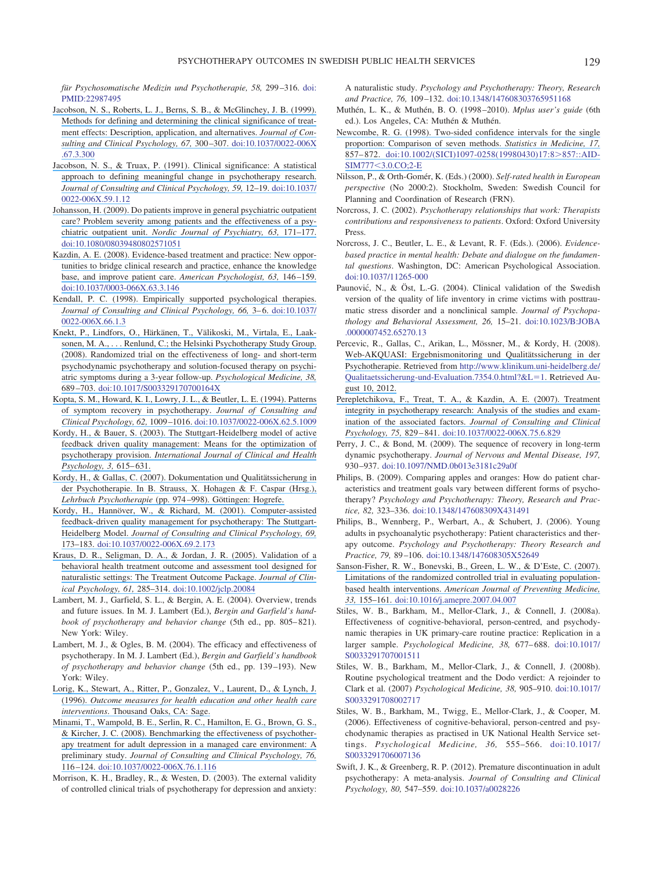*für Psychosomatische Medizin und Psychotherapie, 58,* 299 –316. [doi:](http://dx.doi.org/PMID:22987495) [PMID:22987495](http://dx.doi.org/PMID:22987495)

- [Jacobson, N. S., Roberts, L. J., Berns, S. B., & McGlinchey, J. B. \(1999\).](https://www.researchgate.net/publication/12930090_Methods_for_defining_and_determining_the_clinical_significance_of_treatment_effects_Description_application_and_alternatives?el=1_x_8&enrichId=rgreq-c7a5ae82878c7499e5662dda369a76d7-XXX&enrichSource=Y292ZXJQYWdlOzIzNjA1ODQ2NDtBUzoxMDQzNDg4ODEyNjA1NjFAMTQwMTg5MDEyMDY5Nw==) [Methods for defining and determining the clinical significance of treat](https://www.researchgate.net/publication/12930090_Methods_for_defining_and_determining_the_clinical_significance_of_treatment_effects_Description_application_and_alternatives?el=1_x_8&enrichId=rgreq-c7a5ae82878c7499e5662dda369a76d7-XXX&enrichSource=Y292ZXJQYWdlOzIzNjA1ODQ2NDtBUzoxMDQzNDg4ODEyNjA1NjFAMTQwMTg5MDEyMDY5Nw==)[ment effects: Description, application, and alternatives.](https://www.researchgate.net/publication/12930090_Methods_for_defining_and_determining_the_clinical_significance_of_treatment_effects_Description_application_and_alternatives?el=1_x_8&enrichId=rgreq-c7a5ae82878c7499e5662dda369a76d7-XXX&enrichSource=Y292ZXJQYWdlOzIzNjA1ODQ2NDtBUzoxMDQzNDg4ODEyNjA1NjFAMTQwMTg5MDEyMDY5Nw==) *Journal of Con[sulting and Clinical Psychology, 67,](https://www.researchgate.net/publication/12930090_Methods_for_defining_and_determining_the_clinical_significance_of_treatment_effects_Description_application_and_alternatives?el=1_x_8&enrichId=rgreq-c7a5ae82878c7499e5662dda369a76d7-XXX&enrichSource=Y292ZXJQYWdlOzIzNjA1ODQ2NDtBUzoxMDQzNDg4ODEyNjA1NjFAMTQwMTg5MDEyMDY5Nw==)* 300 –307. [doi:10.1037/0022-006X](http://dx.doi.org/10.1037/0022-006X.67.3.300) [.67.3.300](http://dx.doi.org/10.1037/0022-006X.67.3.300)
- [Jacobson, N. S., & Truax, P. \(1991\). Clinical significance: A statistical](https://www.researchgate.net/publication/288950605_Clinical_significance_A_statistical_appraoch_to_defining_meaningful_change_in_psychotherapy_research?el=1_x_8&enrichId=rgreq-c7a5ae82878c7499e5662dda369a76d7-XXX&enrichSource=Y292ZXJQYWdlOzIzNjA1ODQ2NDtBUzoxMDQzNDg4ODEyNjA1NjFAMTQwMTg5MDEyMDY5Nw==) [approach to defining meaningful change in psychotherapy research.](https://www.researchgate.net/publication/288950605_Clinical_significance_A_statistical_appraoch_to_defining_meaningful_change_in_psychotherapy_research?el=1_x_8&enrichId=rgreq-c7a5ae82878c7499e5662dda369a76d7-XXX&enrichSource=Y292ZXJQYWdlOzIzNjA1ODQ2NDtBUzoxMDQzNDg4ODEyNjA1NjFAMTQwMTg5MDEyMDY5Nw==) *[Journal of Consulting and Clinical Psychology, 59,](https://www.researchgate.net/publication/288950605_Clinical_significance_A_statistical_appraoch_to_defining_meaningful_change_in_psychotherapy_research?el=1_x_8&enrichId=rgreq-c7a5ae82878c7499e5662dda369a76d7-XXX&enrichSource=Y292ZXJQYWdlOzIzNjA1ODQ2NDtBUzoxMDQzNDg4ODEyNjA1NjFAMTQwMTg5MDEyMDY5Nw==)* 12–19. [doi:10.1037/](http://dx.doi.org/10.1037/0022-006X.59.1.12) [0022-006X.59.1.12](http://dx.doi.org/10.1037/0022-006X.59.1.12)
- [Johansson, H. \(2009\). Do patients improve in general psychiatric outpatient](https://www.researchgate.net/publication/23498525_Do_patients_improve_in_general_psychiatric_outpatient_care_Problem_severity_among_patients_and_the_effectiveness_of_a_psychiatric_outpatient_unit?el=1_x_8&enrichId=rgreq-c7a5ae82878c7499e5662dda369a76d7-XXX&enrichSource=Y292ZXJQYWdlOzIzNjA1ODQ2NDtBUzoxMDQzNDg4ODEyNjA1NjFAMTQwMTg5MDEyMDY5Nw==) [care? Problem severity among patients and the effectiveness of a psy](https://www.researchgate.net/publication/23498525_Do_patients_improve_in_general_psychiatric_outpatient_care_Problem_severity_among_patients_and_the_effectiveness_of_a_psychiatric_outpatient_unit?el=1_x_8&enrichId=rgreq-c7a5ae82878c7499e5662dda369a76d7-XXX&enrichSource=Y292ZXJQYWdlOzIzNjA1ODQ2NDtBUzoxMDQzNDg4ODEyNjA1NjFAMTQwMTg5MDEyMDY5Nw==)chiatric outpatient unit. *[Nordic Journal of Psychiatry, 63,](https://www.researchgate.net/publication/23498525_Do_patients_improve_in_general_psychiatric_outpatient_care_Problem_severity_among_patients_and_the_effectiveness_of_a_psychiatric_outpatient_unit?el=1_x_8&enrichId=rgreq-c7a5ae82878c7499e5662dda369a76d7-XXX&enrichSource=Y292ZXJQYWdlOzIzNjA1ODQ2NDtBUzoxMDQzNDg4ODEyNjA1NjFAMTQwMTg5MDEyMDY5Nw==)* 171–177. [doi:10.1080/08039480802571051](http://dx.doi.org/10.1080/08039480802571051)
- [Kazdin, A. E. \(2008\). Evidence-based treatment and practice: New oppor](https://www.researchgate.net/publication/5475755_Evidence-Based_Treatment_and_Practice_New_Opportunities_to_Bridge_Clinical_Research_and_Practice_Enhance_the_Knowledge_Base_and_Improve_Patient_Care?el=1_x_8&enrichId=rgreq-c7a5ae82878c7499e5662dda369a76d7-XXX&enrichSource=Y292ZXJQYWdlOzIzNjA1ODQ2NDtBUzoxMDQzNDg4ODEyNjA1NjFAMTQwMTg5MDEyMDY5Nw==)[tunities to bridge clinical research and practice, enhance the knowledge](https://www.researchgate.net/publication/5475755_Evidence-Based_Treatment_and_Practice_New_Opportunities_to_Bridge_Clinical_Research_and_Practice_Enhance_the_Knowledge_Base_and_Improve_Patient_Care?el=1_x_8&enrichId=rgreq-c7a5ae82878c7499e5662dda369a76d7-XXX&enrichSource=Y292ZXJQYWdlOzIzNjA1ODQ2NDtBUzoxMDQzNDg4ODEyNjA1NjFAMTQwMTg5MDEyMDY5Nw==) [base, and improve patient care.](https://www.researchgate.net/publication/5475755_Evidence-Based_Treatment_and_Practice_New_Opportunities_to_Bridge_Clinical_Research_and_Practice_Enhance_the_Knowledge_Base_and_Improve_Patient_Care?el=1_x_8&enrichId=rgreq-c7a5ae82878c7499e5662dda369a76d7-XXX&enrichSource=Y292ZXJQYWdlOzIzNjA1ODQ2NDtBUzoxMDQzNDg4ODEyNjA1NjFAMTQwMTg5MDEyMDY5Nw==) *American Psychologist, 63,* 146 –159. [doi:10.1037/0003-066X.63.3.146](http://dx.doi.org/10.1037/0003-066X.63.3.146)
- [Kendall, P. C. \(1998\). Empirically supported psychological therapies.](https://www.researchgate.net/publication/13742936_Empirically_supported_psychological_therapies_Special_Section?el=1_x_8&enrichId=rgreq-c7a5ae82878c7499e5662dda369a76d7-XXX&enrichSource=Y292ZXJQYWdlOzIzNjA1ODQ2NDtBUzoxMDQzNDg4ODEyNjA1NjFAMTQwMTg5MDEyMDY5Nw==) [Journal of Consulting and Clinical Psychology, 66,](https://www.researchgate.net/publication/13742936_Empirically_supported_psychological_therapies_Special_Section?el=1_x_8&enrichId=rgreq-c7a5ae82878c7499e5662dda369a76d7-XXX&enrichSource=Y292ZXJQYWdlOzIzNjA1ODQ2NDtBUzoxMDQzNDg4ODEyNjA1NjFAMTQwMTg5MDEyMDY5Nw==) 3-6. [doi:10.1037/](http://dx.doi.org/10.1037/0022-006X.66.1.3) [0022-006X.66.1.3](http://dx.doi.org/10.1037/0022-006X.66.1.3)
- [Knekt, P., Lindfors, O., Härkänen, T., Välikoski, M., Virtala, E., Laak-](https://www.researchgate.net/publication/5842489_Randomized_trial_on_the_effectiveness_of_long-_and_short-term_psychodynamic_psychotherapy_and_solution-focused_therapy_on_psychiatric_symptoms_during_3-year_follow-up?el=1_x_8&enrichId=rgreq-c7a5ae82878c7499e5662dda369a76d7-XXX&enrichSource=Y292ZXJQYWdlOzIzNjA1ODQ2NDtBUzoxMDQzNDg4ODEyNjA1NjFAMTQwMTg5MDEyMDY5Nw==)sonen, M. A., ... [Renlund, C.; the Helsinki Psychotherapy Study Group.](https://www.researchgate.net/publication/5842489_Randomized_trial_on_the_effectiveness_of_long-_and_short-term_psychodynamic_psychotherapy_and_solution-focused_therapy_on_psychiatric_symptoms_during_3-year_follow-up?el=1_x_8&enrichId=rgreq-c7a5ae82878c7499e5662dda369a76d7-XXX&enrichSource=Y292ZXJQYWdlOzIzNjA1ODQ2NDtBUzoxMDQzNDg4ODEyNjA1NjFAMTQwMTg5MDEyMDY5Nw==) [\(2008\). Randomized trial on the effectiveness of long- and short-term](https://www.researchgate.net/publication/5842489_Randomized_trial_on_the_effectiveness_of_long-_and_short-term_psychodynamic_psychotherapy_and_solution-focused_therapy_on_psychiatric_symptoms_during_3-year_follow-up?el=1_x_8&enrichId=rgreq-c7a5ae82878c7499e5662dda369a76d7-XXX&enrichSource=Y292ZXJQYWdlOzIzNjA1ODQ2NDtBUzoxMDQzNDg4ODEyNjA1NjFAMTQwMTg5MDEyMDY5Nw==) [psychodynamic psychotherapy and solution-focused therapy on psychi](https://www.researchgate.net/publication/5842489_Randomized_trial_on_the_effectiveness_of_long-_and_short-term_psychodynamic_psychotherapy_and_solution-focused_therapy_on_psychiatric_symptoms_during_3-year_follow-up?el=1_x_8&enrichId=rgreq-c7a5ae82878c7499e5662dda369a76d7-XXX&enrichSource=Y292ZXJQYWdlOzIzNjA1ODQ2NDtBUzoxMDQzNDg4ODEyNjA1NjFAMTQwMTg5MDEyMDY5Nw==)[atric symptoms during a 3-year follow-up.](https://www.researchgate.net/publication/5842489_Randomized_trial_on_the_effectiveness_of_long-_and_short-term_psychodynamic_psychotherapy_and_solution-focused_therapy_on_psychiatric_symptoms_during_3-year_follow-up?el=1_x_8&enrichId=rgreq-c7a5ae82878c7499e5662dda369a76d7-XXX&enrichSource=Y292ZXJQYWdlOzIzNjA1ODQ2NDtBUzoxMDQzNDg4ODEyNjA1NjFAMTQwMTg5MDEyMDY5Nw==) *Psychological Medicine, 38,* 689 –703. [doi:10.1017/S003329170700164X](http://dx.doi.org/10.1017/S003329170700164X)
- [Kopta, S. M., Howard, K. I., Lowry, J. L., & Beutler, L. E. \(1994\). Patterns](https://www.researchgate.net/publication/15391916_Patterns_of_symptomatic_recovery_in_psychotherapy?el=1_x_8&enrichId=rgreq-c7a5ae82878c7499e5662dda369a76d7-XXX&enrichSource=Y292ZXJQYWdlOzIzNjA1ODQ2NDtBUzoxMDQzNDg4ODEyNjA1NjFAMTQwMTg5MDEyMDY5Nw==) [of symptom recovery in psychotherapy.](https://www.researchgate.net/publication/15391916_Patterns_of_symptomatic_recovery_in_psychotherapy?el=1_x_8&enrichId=rgreq-c7a5ae82878c7499e5662dda369a76d7-XXX&enrichSource=Y292ZXJQYWdlOzIzNjA1ODQ2NDtBUzoxMDQzNDg4ODEyNjA1NjFAMTQwMTg5MDEyMDY5Nw==) *Journal of Consulting and Clinical Psychology, 62,* 1009 –1016. [doi:10.1037/0022-006X.62.5.1009](http://dx.doi.org/10.1037/0022-006X.62.5.1009)
- [Kordy, H., & Bauer, S. \(2003\). The Stuttgart-Heidelberg model of active](https://www.researchgate.net/publication/26420248_The_Stuttgart-Heidelberg_Model_of_Active_Feedback_Driven_Quality_Management_Means_for_the_Optimization_of_Psychotherapy_Provision?el=1_x_8&enrichId=rgreq-c7a5ae82878c7499e5662dda369a76d7-XXX&enrichSource=Y292ZXJQYWdlOzIzNjA1ODQ2NDtBUzoxMDQzNDg4ODEyNjA1NjFAMTQwMTg5MDEyMDY5Nw==) [feedback driven quality management: Means for the optimization of](https://www.researchgate.net/publication/26420248_The_Stuttgart-Heidelberg_Model_of_Active_Feedback_Driven_Quality_Management_Means_for_the_Optimization_of_Psychotherapy_Provision?el=1_x_8&enrichId=rgreq-c7a5ae82878c7499e5662dda369a76d7-XXX&enrichSource=Y292ZXJQYWdlOzIzNjA1ODQ2NDtBUzoxMDQzNDg4ODEyNjA1NjFAMTQwMTg5MDEyMDY5Nw==) psychotherapy provision. *[International Journal of Clinical and Health](https://www.researchgate.net/publication/26420248_The_Stuttgart-Heidelberg_Model_of_Active_Feedback_Driven_Quality_Management_Means_for_the_Optimization_of_Psychotherapy_Provision?el=1_x_8&enrichId=rgreq-c7a5ae82878c7499e5662dda369a76d7-XXX&enrichSource=Y292ZXJQYWdlOzIzNjA1ODQ2NDtBUzoxMDQzNDg4ODEyNjA1NjFAMTQwMTg5MDEyMDY5Nw==) [Psychology, 3,](https://www.researchgate.net/publication/26420248_The_Stuttgart-Heidelberg_Model_of_Active_Feedback_Driven_Quality_Management_Means_for_the_Optimization_of_Psychotherapy_Provision?el=1_x_8&enrichId=rgreq-c7a5ae82878c7499e5662dda369a76d7-XXX&enrichSource=Y292ZXJQYWdlOzIzNjA1ODQ2NDtBUzoxMDQzNDg4ODEyNjA1NjFAMTQwMTg5MDEyMDY5Nw==)* 615– 631.
- [Kordy, H., & Gallas, C. \(2007\). Dokumentation und Qualitätssicherung in](https://www.researchgate.net/publication/236870070_Dokumentation_und_Qualitatssicherung?el=1_x_8&enrichId=rgreq-c7a5ae82878c7499e5662dda369a76d7-XXX&enrichSource=Y292ZXJQYWdlOzIzNjA1ODQ2NDtBUzoxMDQzNDg4ODEyNjA1NjFAMTQwMTg5MDEyMDY5Nw==) [der Psychotherapie. In B. Strauss, X. Hohagen & F. Caspar \(Hrsg.\),](https://www.researchgate.net/publication/236870070_Dokumentation_und_Qualitatssicherung?el=1_x_8&enrichId=rgreq-c7a5ae82878c7499e5662dda369a76d7-XXX&enrichSource=Y292ZXJQYWdlOzIzNjA1ODQ2NDtBUzoxMDQzNDg4ODEyNjA1NjFAMTQwMTg5MDEyMDY5Nw==) *Lehrbuch Psychotherapie* [\(pp. 974 –998\). Göttingen: Hogrefe.](https://www.researchgate.net/publication/236870070_Dokumentation_und_Qualitatssicherung?el=1_x_8&enrichId=rgreq-c7a5ae82878c7499e5662dda369a76d7-XXX&enrichSource=Y292ZXJQYWdlOzIzNjA1ODQ2NDtBUzoxMDQzNDg4ODEyNjA1NjFAMTQwMTg5MDEyMDY5Nw==)
- [Kordy, H., Hannöver, W., & Richard, M. \(2001\). Computer-assisted](https://www.researchgate.net/publication/11945037_Computer-assisted_feedback-driven_quality_management_for_psychotherapy_The_Stuttgart-Heidelberg_Model?el=1_x_8&enrichId=rgreq-c7a5ae82878c7499e5662dda369a76d7-XXX&enrichSource=Y292ZXJQYWdlOzIzNjA1ODQ2NDtBUzoxMDQzNDg4ODEyNjA1NjFAMTQwMTg5MDEyMDY5Nw==) [feedback-driven quality management for psychotherapy: The Stuttgart-](https://www.researchgate.net/publication/11945037_Computer-assisted_feedback-driven_quality_management_for_psychotherapy_The_Stuttgart-Heidelberg_Model?el=1_x_8&enrichId=rgreq-c7a5ae82878c7499e5662dda369a76d7-XXX&enrichSource=Y292ZXJQYWdlOzIzNjA1ODQ2NDtBUzoxMDQzNDg4ODEyNjA1NjFAMTQwMTg5MDEyMDY5Nw==)Heidelberg Model. *[Journal of Consulting and Clinical Psychology, 69,](https://www.researchgate.net/publication/11945037_Computer-assisted_feedback-driven_quality_management_for_psychotherapy_The_Stuttgart-Heidelberg_Model?el=1_x_8&enrichId=rgreq-c7a5ae82878c7499e5662dda369a76d7-XXX&enrichSource=Y292ZXJQYWdlOzIzNjA1ODQ2NDtBUzoxMDQzNDg4ODEyNjA1NjFAMTQwMTg5MDEyMDY5Nw==)* 173–183. [doi:10.1037/0022-006X.69.2.173](http://dx.doi.org/10.1037/0022-006X.69.2.173)
- [Kraus, D. R., Seligman, D. A., & Jordan, J. R. \(2005\). Validation of a](https://www.researchgate.net/publication/8181199_Validation_of_a_behavioral_health_treatment_outcome_and_assessment_tool_designed_for_naturalistic_settings_The_Treatment_Outcome_Package?el=1_x_8&enrichId=rgreq-c7a5ae82878c7499e5662dda369a76d7-XXX&enrichSource=Y292ZXJQYWdlOzIzNjA1ODQ2NDtBUzoxMDQzNDg4ODEyNjA1NjFAMTQwMTg5MDEyMDY5Nw==) [behavioral health treatment outcome and assessment tool designed for](https://www.researchgate.net/publication/8181199_Validation_of_a_behavioral_health_treatment_outcome_and_assessment_tool_designed_for_naturalistic_settings_The_Treatment_Outcome_Package?el=1_x_8&enrichId=rgreq-c7a5ae82878c7499e5662dda369a76d7-XXX&enrichSource=Y292ZXJQYWdlOzIzNjA1ODQ2NDtBUzoxMDQzNDg4ODEyNjA1NjFAMTQwMTg5MDEyMDY5Nw==) [naturalistic settings: The Treatment Outcome Package.](https://www.researchgate.net/publication/8181199_Validation_of_a_behavioral_health_treatment_outcome_and_assessment_tool_designed_for_naturalistic_settings_The_Treatment_Outcome_Package?el=1_x_8&enrichId=rgreq-c7a5ae82878c7499e5662dda369a76d7-XXX&enrichSource=Y292ZXJQYWdlOzIzNjA1ODQ2NDtBUzoxMDQzNDg4ODEyNjA1NjFAMTQwMTg5MDEyMDY5Nw==) *Journal of Clinical Psychology, 61,* 285–314. [doi:10.1002/jclp.20084](http://dx.doi.org/10.1002/jclp.20084)
- Lambert, M. J., Garfield, S. L., & Bergin, A. E. (2004). Overview, trends and future issues. In M. J. Lambert (Ed.), *Bergin and Garfield's handbook of psychotherapy and behavior change* (5th ed., pp. 805-821). New York: Wiley.
- Lambert, M. J., & Ogles, B. M. (2004). The efficacy and effectiveness of psychotherapy. In M. J. Lambert (Ed.), *Bergin and Garfield's handbook of psychotherapy and behavior change* (5th ed., pp. 139 –193). New York: Wiley.
- [Lorig, K., Stewart, A., Ritter, P., Gonzalez, V., Laurent, D., & Lynch, J.](https://www.researchgate.net/publication/285700068_Outcome_Measures_for_Health_Education_and_Other_Health_Care_Interventions?el=1_x_8&enrichId=rgreq-c7a5ae82878c7499e5662dda369a76d7-XXX&enrichSource=Y292ZXJQYWdlOzIzNjA1ODQ2NDtBUzoxMDQzNDg4ODEyNjA1NjFAMTQwMTg5MDEyMDY5Nw==) (1996). *[Outcome measures for health education and other health care](https://www.researchgate.net/publication/285700068_Outcome_Measures_for_Health_Education_and_Other_Health_Care_Interventions?el=1_x_8&enrichId=rgreq-c7a5ae82878c7499e5662dda369a76d7-XXX&enrichSource=Y292ZXJQYWdlOzIzNjA1ODQ2NDtBUzoxMDQzNDg4ODEyNjA1NjFAMTQwMTg5MDEyMDY5Nw==) interventions*[. Thousand Oaks, CA: Sage.](https://www.researchgate.net/publication/285700068_Outcome_Measures_for_Health_Education_and_Other_Health_Care_Interventions?el=1_x_8&enrichId=rgreq-c7a5ae82878c7499e5662dda369a76d7-XXX&enrichSource=Y292ZXJQYWdlOzIzNjA1ODQ2NDtBUzoxMDQzNDg4ODEyNjA1NjFAMTQwMTg5MDEyMDY5Nw==)
- [Minami, T., Wampold, B. E., Serlin, R. C., Hamilton, E. G., Brown, G. S.,](https://www.researchgate.net/publication/5621890_Benchmarking_the_Effectiveness_of_Psychotherapy_Treatment_for_Adult_Depression_in_a_Managed_Care_Environment_A_Preliminary_Study?el=1_x_8&enrichId=rgreq-c7a5ae82878c7499e5662dda369a76d7-XXX&enrichSource=Y292ZXJQYWdlOzIzNjA1ODQ2NDtBUzoxMDQzNDg4ODEyNjA1NjFAMTQwMTg5MDEyMDY5Nw==) [& Kircher, J. C. \(2008\). Benchmarking the effectiveness of psychother](https://www.researchgate.net/publication/5621890_Benchmarking_the_Effectiveness_of_Psychotherapy_Treatment_for_Adult_Depression_in_a_Managed_Care_Environment_A_Preliminary_Study?el=1_x_8&enrichId=rgreq-c7a5ae82878c7499e5662dda369a76d7-XXX&enrichSource=Y292ZXJQYWdlOzIzNjA1ODQ2NDtBUzoxMDQzNDg4ODEyNjA1NjFAMTQwMTg5MDEyMDY5Nw==)[apy treatment for adult depression in a managed care environment: A](https://www.researchgate.net/publication/5621890_Benchmarking_the_Effectiveness_of_Psychotherapy_Treatment_for_Adult_Depression_in_a_Managed_Care_Environment_A_Preliminary_Study?el=1_x_8&enrichId=rgreq-c7a5ae82878c7499e5662dda369a76d7-XXX&enrichSource=Y292ZXJQYWdlOzIzNjA1ODQ2NDtBUzoxMDQzNDg4ODEyNjA1NjFAMTQwMTg5MDEyMDY5Nw==) preliminary study. *[Journal of Consulting and Clinical Psychology, 76,](https://www.researchgate.net/publication/5621890_Benchmarking_the_Effectiveness_of_Psychotherapy_Treatment_for_Adult_Depression_in_a_Managed_Care_Environment_A_Preliminary_Study?el=1_x_8&enrichId=rgreq-c7a5ae82878c7499e5662dda369a76d7-XXX&enrichSource=Y292ZXJQYWdlOzIzNjA1ODQ2NDtBUzoxMDQzNDg4ODEyNjA1NjFAMTQwMTg5MDEyMDY5Nw==)* 116 –124. [doi:10.1037/0022-006X.76.1.116](http://dx.doi.org/10.1037/0022-006X.76.1.116)
- Morrison, K. H., Bradley, R., & Westen, D. (2003). The external validity of controlled clinical trials of psychotherapy for depression and anxiety:

A naturalistic study. *Psychology and Psychotherapy: Theory, Research and Practice, 76,* 109 –132. [doi:10.1348/147608303765951168](http://dx.doi.org/10.1348/147608303765951168)

- Muthén, L. K., & Muthén, B. O. (1998 –2010). *Mplus user's guide* (6th ed.). Los Angeles, CA: Muthén & Muthén.
- [Newcombe, R. G. \(1998\). Two-sided confidence intervals for the single](https://www.researchgate.net/publication/248181614_Two-Sided_Confidence_Intervals_for_the_Single_Proportion_Comparison_of_Seven_Methods?el=1_x_8&enrichId=rgreq-c7a5ae82878c7499e5662dda369a76d7-XXX&enrichSource=Y292ZXJQYWdlOzIzNjA1ODQ2NDtBUzoxMDQzNDg4ODEyNjA1NjFAMTQwMTg5MDEyMDY5Nw==) [proportion: Comparison of seven methods.](https://www.researchgate.net/publication/248181614_Two-Sided_Confidence_Intervals_for_the_Single_Proportion_Comparison_of_Seven_Methods?el=1_x_8&enrichId=rgreq-c7a5ae82878c7499e5662dda369a76d7-XXX&enrichSource=Y292ZXJQYWdlOzIzNjA1ODQ2NDtBUzoxMDQzNDg4ODEyNjA1NjFAMTQwMTg5MDEyMDY5Nw==) *Statistics in Medicine, 17,* 857–872. [doi:10.1002/\(SICI\)1097-0258\(19980430\)17:8](http://dx.doi.org/10.1002/%28SICI%291097-0258%2819980430%2917:8%3E857::AID-SIM777%3C3.0.CO%3B2-E)>857::AID-SIM777<[3.0.CO;2-E](http://dx.doi.org/10.1002/%28SICI%291097-0258%2819980430%2917:8%3E857::AID-SIM777%3C3.0.CO%3B2-E)
- Nilsson, P., & Orth-Gomér, K. (Eds.) (2000). *Self-rated health in European perspective* (No 2000:2). Stockholm, Sweden: Swedish Council for Planning and Coordination of Research (FRN).
- Norcross, J. C. (2002). *Psychotherapy relationships that work: Therapists contributions and responsiveness to patients*. Oxford: Oxford University Press.
- Norcross, J. C., Beutler, L. E., & Levant, R. F. (Eds.). (2006). *Evidencebased practice in mental health: Debate and dialogue on the fundamental questions*. Washington, DC: American Psychological Association. [doi:10.1037/11265-000](http://dx.doi.org/10.1037/11265-000)
- Paunović, N., & Öst, L.-G. (2004). Clinical validation of the Swedish version of the quality of life inventory in crime victims with posttraumatic stress disorder and a nonclinical sample. *Journal of Psychopathology and Behavioral Assessment, 26,* 15–21. [doi:10.1023/B:JOBA](http://dx.doi.org/10.1023/B:JOBA.0000007452.65270.13) [.0000007452.65270.13](http://dx.doi.org/10.1023/B:JOBA.0000007452.65270.13)
- Percevic, R., Gallas, C., Arikan, L., Mössner, M., & Kordy, H. (2008). [Web-AKQUASI: Ergebnismonitoring und Qualitätssicherung in der](https://www.researchgate.net/publication/5762632_Treatment_Integrity_in_Psychotherapy_Research_Analysis_of_the_Studies_and_Examination_of_the_Associated_Factors?el=1_x_8&enrichId=rgreq-c7a5ae82878c7499e5662dda369a76d7-XXX&enrichSource=Y292ZXJQYWdlOzIzNjA1ODQ2NDtBUzoxMDQzNDg4ODEyNjA1NjFAMTQwMTg5MDEyMDY5Nw==) Psychotherapie. Retrieved from [http://www.klinikum.uni-heidelberg.de/](http://www.klinikum.uni-heidelberg.de/Qualitaetssicherung-und-Evaluation.7354.0.html?%26amp%3BL=1) [Qualitaetssicherung-und-Evaluation.7354.0.html?&L](http://www.klinikum.uni-heidelberg.de/Qualitaetssicherung-und-Evaluation.7354.0.html?%26amp%3BL=1)=1. Retrieved Au[gust 10, 2012.](https://www.researchgate.net/publication/5762632_Treatment_Integrity_in_Psychotherapy_Research_Analysis_of_the_Studies_and_Examination_of_the_Associated_Factors?el=1_x_8&enrichId=rgreq-c7a5ae82878c7499e5662dda369a76d7-XXX&enrichSource=Y292ZXJQYWdlOzIzNjA1ODQ2NDtBUzoxMDQzNDg4ODEyNjA1NjFAMTQwMTg5MDEyMDY5Nw==)
- [Perepletchikova, F., Treat, T. A., & Kazdin, A. E. \(2007\). Treatment](https://www.researchgate.net/publication/5762632_Treatment_Integrity_in_Psychotherapy_Research_Analysis_of_the_Studies_and_Examination_of_the_Associated_Factors?el=1_x_8&enrichId=rgreq-c7a5ae82878c7499e5662dda369a76d7-XXX&enrichSource=Y292ZXJQYWdlOzIzNjA1ODQ2NDtBUzoxMDQzNDg4ODEyNjA1NjFAMTQwMTg5MDEyMDY5Nw==) [integrity in psychotherapy research: Analysis of the studies and exam](https://www.researchgate.net/publication/5762632_Treatment_Integrity_in_Psychotherapy_Research_Analysis_of_the_Studies_and_Examination_of_the_Associated_Factors?el=1_x_8&enrichId=rgreq-c7a5ae82878c7499e5662dda369a76d7-XXX&enrichSource=Y292ZXJQYWdlOzIzNjA1ODQ2NDtBUzoxMDQzNDg4ODEyNjA1NjFAMTQwMTg5MDEyMDY5Nw==)ination of the associated factors. *[Journal of Consulting and Clinical](https://www.researchgate.net/publication/5762632_Treatment_Integrity_in_Psychotherapy_Research_Analysis_of_the_Studies_and_Examination_of_the_Associated_Factors?el=1_x_8&enrichId=rgreq-c7a5ae82878c7499e5662dda369a76d7-XXX&enrichSource=Y292ZXJQYWdlOzIzNjA1ODQ2NDtBUzoxMDQzNDg4ODEyNjA1NjFAMTQwMTg5MDEyMDY5Nw==) Psychology, 75,* 829 – 841. [doi:10.1037/0022-006X.75.6.829](http://dx.doi.org/10.1037/0022-006X.75.6.829)
- Perry, J. C., & Bond, M. (2009). The sequence of recovery in long-term dynamic psychotherapy. *Journal of Nervous and Mental Disease, 197,* 930 –937. [doi:10.1097/NMD.0b013e3181c29a0f](http://dx.doi.org/10.1097/NMD.0b013e3181c29a0f)
- Philips, B. (2009). Comparing apples and oranges: How do patient characteristics and treatment goals vary between different forms of psychotherapy? *Psychology and Psychotherapy: Theory, Research and Practice, 82,* 323–336. [doi:10.1348/147608309X431491](http://dx.doi.org/10.1348/147608309X431491)
- Philips, B., Wennberg, P., Werbart, A., & Schubert, J. (2006). Young adults in psychoanalytic psychotherapy: Patient characteristics and therapy outcome. *Psychology and Psychotherapy: Theory Research and Practice, 79,* 89 –106. [doi:10.1348/147608305X52649](http://dx.doi.org/10.1348/147608305X52649)
- [Sanson-Fisher, R. W., Bonevski, B., Green, L. W., & D'Este, C. \(2007\).](https://www.researchgate.net/publication/6166401_Limitations_of_the_Randomized_Controlled_Trial_in_Evaluating_Population-Based_Health_Interventions?el=1_x_8&enrichId=rgreq-c7a5ae82878c7499e5662dda369a76d7-XXX&enrichSource=Y292ZXJQYWdlOzIzNjA1ODQ2NDtBUzoxMDQzNDg4ODEyNjA1NjFAMTQwMTg5MDEyMDY5Nw==) [Limitations of the randomized controlled trial in evaluating population](https://www.researchgate.net/publication/6166401_Limitations_of_the_Randomized_Controlled_Trial_in_Evaluating_Population-Based_Health_Interventions?el=1_x_8&enrichId=rgreq-c7a5ae82878c7499e5662dda369a76d7-XXX&enrichSource=Y292ZXJQYWdlOzIzNjA1ODQ2NDtBUzoxMDQzNDg4ODEyNjA1NjFAMTQwMTg5MDEyMDY5Nw==)based health interventions. *[American Journal of Preventing Medicine,](https://www.researchgate.net/publication/6166401_Limitations_of_the_Randomized_Controlled_Trial_in_Evaluating_Population-Based_Health_Interventions?el=1_x_8&enrichId=rgreq-c7a5ae82878c7499e5662dda369a76d7-XXX&enrichSource=Y292ZXJQYWdlOzIzNjA1ODQ2NDtBUzoxMDQzNDg4ODEyNjA1NjFAMTQwMTg5MDEyMDY5Nw==) 33,* 155–161. [doi:10.1016/j.amepre.2007.04.007](http://dx.doi.org/10.1016/j.amepre.2007.04.007)
- Stiles, W. B., Barkham, M., Mellor-Clark, J., & Connell, J. (2008a). Effectiveness of cognitive-behavioral, person-centred, and psychodynamic therapies in UK primary-care routine practice: Replication in a larger sample. *Psychological Medicine, 38,* 677– 688. [doi:10.1017/](http://dx.doi.org/10.1017/S0033291707001511) [S0033291707001511](http://dx.doi.org/10.1017/S0033291707001511)
- Stiles, W. B., Barkham, M., Mellor-Clark, J., & Connell, J. (2008b). Routine psychological treatment and the Dodo verdict: A rejoinder to Clark et al. (2007) *Psychological Medicine, 38,* 905–910. [doi:10.1017/](http://dx.doi.org/10.1017/S0033291708002717) [S0033291708002717](http://dx.doi.org/10.1017/S0033291708002717)
- Stiles, W. B., Barkham, M., Twigg, E., Mellor-Clark, J., & Cooper, M. (2006). Effectiveness of cognitive-behavioral, person-centred and psychodynamic therapies as practised in UK National Health Service settings. *Psychological Medicine, 36,* 555–566. [doi:10.1017/](http://dx.doi.org/10.1017/S0033291706007136) [S0033291706007136](http://dx.doi.org/10.1017/S0033291706007136)
- Swift, J. K., & Greenberg, R. P. (2012). Premature discontinuation in adult psychotherapy: A meta-analysis. *Journal of Consulting and Clinical Psychology, 80,* 547–559. [doi:10.1037/a0028226](http://dx.doi.org/10.1037/a0028226)